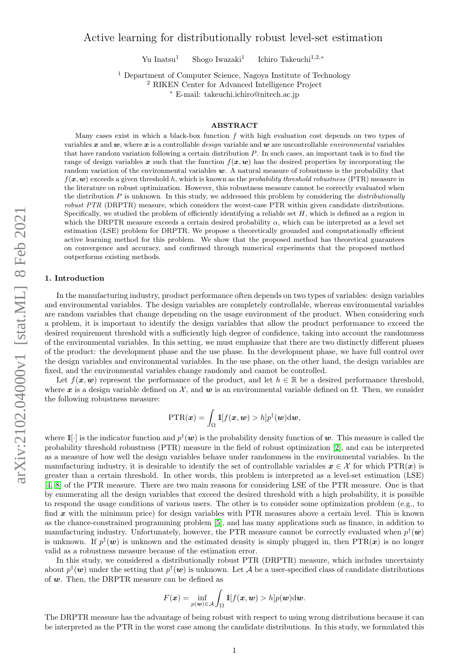# Active learning for distributionally robust level-set estimation

Yu Inatsu<sup>1</sup> Shogo Iwazaki<sup>1</sup> Ichiro Takeuchi $^{1,2,\ast}$ 

<sup>1</sup> Department of Computer Science, Nagoya Institute of Technology

<sup>2</sup> RIKEN Center for Advanced Intelligence Project

<sup>∗</sup> E-mail: takeuchi.ichiro@nitech.ac.jp

## ABSTRACT

Many cases exist in which a black-box function  $f$  with high evaluation cost depends on two types of variables x and w, where x is a controllable design variable and w are uncontrollable environmental variables that have random variation following a certain distribution  $P$ . In such cases, an important task is to find the range of design variables x such that the function  $f(x, w)$  has the desired properties by incorporating the random variation of the environmental variables  $w$ . A natural measure of robustness is the probability that  $f(x, w)$  exceeds a given threshold h, which is known as the *probability threshold robustness* (PTR) measure in the literature on robust optimization. However, this robustness measure cannot be correctly evaluated when the distribution  $P$  is unknown. In this study, we addressed this problem by considering the *distributionally* robust PTR (DRPTR) measure, which considers the worst-case PTR within given candidate distributions. Specifically, we studied the problem of efficiently identifying a reliable set  $H$ , which is defined as a region in which the DRPTR measure exceeds a certain desired probability  $\alpha$ , which can be interpreted as a level set estimation (LSE) problem for DRPTR. We propose a theoretically grounded and computationally efficient active learning method for this problem. We show that the proposed method has theoretical guarantees on convergence and accuracy, and confirmed through numerical experiments that the proposed method outperforms existing methods.

## 1. Introduction

In the manufacturing industry, product performance often depends on two types of variables: design variables and environmental variables. The design variables are completely controllable, whereas environmental variables are random variables that change depending on the usage environment of the product. When considering such a problem, it is important to identify the design variables that allow the product performance to exceed the desired requirement threshold with a sufficiently high degree of confidence, taking into account the randomness of the environmental variables. In this setting, we must emphasize that there are two distinctly different phases of the product: the development phase and the use phase. In the development phase, we have full control over the design variables and environmental variables. In the use phase, on the other hand, the design variables are fixed, and the environmental variables change randomly and cannot be controlled.

Let  $f(\mathbf{x}, \mathbf{w})$  represent the performance of the product, and let  $h \in \mathbb{R}$  be a desired performance threshold. where x is a design variable defined on  $\mathcal{X}$ , and w is an environmental variable defined on  $\Omega$ . Then, we consider the following robustness measure:

$$
\text{PTR}(\boldsymbol{x}) = \int_{\Omega} \mathrm{1}\! [f(\boldsymbol{x}, \boldsymbol{w}) > h] p^{\dagger}(\boldsymbol{w}) \mathrm{d} \boldsymbol{w},
$$

where  $1\llbracket \cdot \rrbracket$  is the indicator function and  $p^{\dagger}(w)$  is the probability density function of w. This measure is called the probability threshold robustness (PTR) measure in the field of robust optimization [\[2\]](#page-9-0), and can be interpreted as a measure of how well the design variables behave under randomness in the environmental variables. In the manufacturing industry, it is desirable to identify the set of controllable variables  $x \in \mathcal{X}$  for which PTR(x) is greater than a certain threshold. In other words, this problem is interpreted as a level-set estimation (LSE) [\[4,](#page-9-1) [8\]](#page-9-2) of the PTR measure. There are two main reasons for considering LSE of the PTR measure. One is that by enumerating all the design variables that exceed the desired threshold with a high probability, it is possible to respond the usage conditions of various users. The other is to consider some optimization problem (e.g., to find  $x$  with the minimum price) for design variables with PTR measures above a certain level. This is known as the chance-constrained programming problem [\[5\]](#page-9-3), and has many applications such as finance, in addition to manufacturing industry. Unfortunately, however, the PTR measure cannot be correctly evaluated when  $p^{\dagger}(\boldsymbol{w})$ is unknown. If  $p^{\dagger}(\boldsymbol{w})$  is unknown and the estimated density is simply plugged in, then  $\text{PTR}(\boldsymbol{x})$  is no longer valid as a robustness measure because of the estimation error.

In this study, we considered a distributionally robust PTR (DRPTR) measure, which includes uncertainty about  $p^{\dagger}(\bm{w})$  under the setting that  $p^{\dagger}(\bm{w})$  is unknown. Let A be a user-specified class of candidate distributions of w. Then, the DRPTR measure can be defined as

$$
F(\boldsymbol{x}) = \inf_{p(\boldsymbol{w}) \in \mathcal{A}} \int_{\Omega} 1\!\!\mathrm{I}[f(\boldsymbol{x}, \boldsymbol{w}) > h] p(\boldsymbol{w}) \mathrm{d}\boldsymbol{w}.
$$

The DRPTR measure has the advantage of being robust with respect to using wrong distributions because it can be interpreted as the PTR in the worst case among the candidate distributions. In this study, we formulated this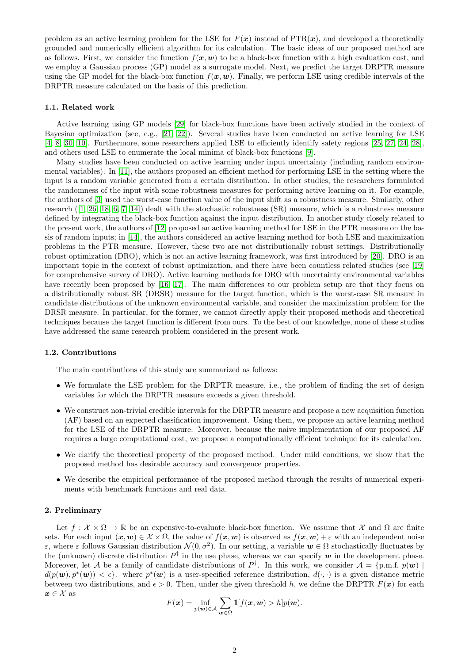problem as an active learning problem for the LSE for  $F(x)$  instead of  $PTR(x)$ , and developed a theoretically grounded and numerically efficient algorithm for its calculation. The basic ideas of our proposed method are as follows. First, we consider the function  $f(x, w)$  to be a black-box function with a high evaluation cost, and we employ a Gaussian process (GP) model as a surrogate model. Next, we predict the target DRPTR measure using the GP model for the black-box function  $f(x, w)$ . Finally, we perform LSE using credible intervals of the DRPTR measure calculated on the basis of this prediction.

## 1.1. Related work

Active learning using GP models [\[29\]](#page-10-0) for black-box functions have been actively studied in the context of Bayesian optimization (see, e.g., [\[21,](#page-10-1) [22\]](#page-10-2)). Several studies have been conducted on active learning for LSE [\[4,](#page-9-1) [8,](#page-9-2) [30,](#page-10-3) [10\]](#page-9-4). Furthermore, some researchers applied LSE to efficiently identify safety regions [\[25,](#page-10-4) [27,](#page-10-5) [24,](#page-10-6) [28\]](#page-10-7), and others used LSE to enumerate the local minima of black-box functions [\[9\]](#page-9-5).

Many studies have been conducted on active learning under input uncertainty (including random environmental variables). In [\[11\]](#page-9-6), the authors proposed an efficient method for performing LSE in the setting where the input is a random variable generated from a certain distribution. In other studies, the researchers formulated the randomness of the input with some robustness measures for performing active learning on it. For example, the authors of [\[3\]](#page-9-7) used the worst-case function value of the input shift as a robustness measure. Similarly, other research  $(1, 26, 18, 6, 7, 14)$  $(1, 26, 18, 6, 7, 14)$  $(1, 26, 18, 6, 7, 14)$  $(1, 26, 18, 6, 7, 14)$  $(1, 26, 18, 6, 7, 14)$  $(1, 26, 18, 6, 7, 14)$  dealt with the stochastic robustness (SR) measure, which is a robustness measure defined by integrating the black-box function against the input distribution. In another study closely related to the present work, the authors of [\[12\]](#page-9-13) proposed an active learning method for LSE in the PTR measure on the basis of random inputs; in [\[14\]](#page-9-12), the authors considered an active learning method for both LSE and maximization problems in the PTR measure. However, these two are not distributionally robust settings. Distributionally robust optimization (DRO), which is not an active learning framework, was first introduced by [\[20\]](#page-10-9). DRO is an important topic in the context of robust optimization, and there have been countless related studies (see [\[19\]](#page-9-14) for comprehensive survey of DRO). Active learning methods for DRO with uncertainty environmental variables have recently been proposed by [\[16,](#page-9-15) [17\]](#page-9-16). The main differences to our problem setup are that they focus on a distributionally robust SR (DRSR) measure for the target function, which is the worst-case SR measure in candidate distributions of the unknown environmental variable, and consider the maximization problem for the DRSR measure. In particular, for the former, we cannot directly apply their proposed methods and theoretical techniques because the target function is different from ours. To the best of our knowledge, none of these studies have addressed the same research problem considered in the present work.

### 1.2. Contributions

The main contributions of this study are summarized as follows:

- We formulate the LSE problem for the DRPTR measure, i.e., the problem of finding the set of design variables for which the DRPTR measure exceeds a given threshold.
- We construct non-trivial credible intervals for the DRPTR measure and propose a new acquisition function (AF) based on an expected classification improvement. Using them, we propose an active learning method for the LSE of the DRPTR measure. Moreover, because the naive implementation of our proposed AF requires a large computational cost, we propose a computationally efficient technique for its calculation.
- We clarify the theoretical property of the proposed method. Under mild conditions, we show that the proposed method has desirable accuracy and convergence properties.
- We describe the empirical performance of the proposed method through the results of numerical experiments with benchmark functions and real data.

## 2. Preliminary

Let  $f: \mathcal{X} \times \Omega \to \mathbb{R}$  be an expensive-to-evaluate black-box function. We assume that X and  $\Omega$  are finite sets. For each input  $(x, w) \in \mathcal{X} \times \Omega$ , the value of  $f(x, w)$  is observed as  $f(x, w) + \varepsilon$  with an independent noise ε, where ε follows Gaussian distribution  $\mathcal{N}(0, \sigma^2)$ . In our setting, a variable  $\mathbf{w} \in \Omega$  stochastically fluctuates by the (unknown) discrete distribution  $P^{\dagger}$  in the use phase, whereas we can specify  $w$  in the development phase. Moreover, let A be a family of candidate distributions of  $P^{\dagger}$ . In this work, we consider  $A = \{p.m.f. p(\boldsymbol{w}) \mid$  $d(p(\boldsymbol{w}), p^*(\boldsymbol{w})) < \epsilon$ . where  $p^*(\boldsymbol{w})$  is a user-specified reference distribution,  $d(\cdot, \cdot)$  is a given distance metric between two distributions, and  $\epsilon > 0$ . Then, under the given threshold h, we define the DRPTR  $F(x)$  for each  $\boldsymbol{x} \in \mathcal{X}$  as

$$
F(\boldsymbol{x}) = \inf_{p(\boldsymbol{w}) \in \mathcal{A}} \sum_{\boldsymbol{w} \in \Omega} \mathbb{1}[f(\boldsymbol{x}, \boldsymbol{w}) > h] p(\boldsymbol{w}).
$$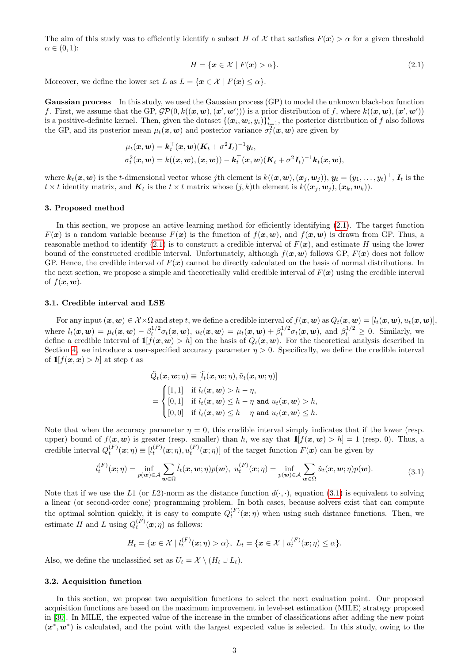The aim of this study was to efficiently identify a subset H of X that satisfies  $F(x) > \alpha$  for a given threshold  $\alpha \in (0,1)$ :

<span id="page-2-0"></span>
$$
H = \{ \mathbf{x} \in \mathcal{X} \mid F(\mathbf{x}) > \alpha \}. \tag{2.1}
$$

Moreover, we define the lower set L as  $L = \{x \in \mathcal{X} \mid F(x) \leq \alpha\}.$ 

Gaussian process In this study, we used the Gaussian process (GP) to model the unknown black-box function f. First, we assume that the GP,  $\mathcal{GP}(0, k((\boldsymbol{x}, \boldsymbol{w}), (\boldsymbol{x}', \boldsymbol{w}')))$  is a prior distribution of f, where  $k((\boldsymbol{x}, \boldsymbol{w}), (\boldsymbol{x}', \boldsymbol{w}'))$ is a positive-definite kernel. Then, given the dataset  $\{(\bm{x}_i, \bm{w}_i, y_i)\}_{i=1}^t$ , the posterior distribution of f also follows the GP, and its posterior mean  $\mu_t(\bm{x}, \bm{w})$  and posterior variance  $\sigma_t^2(\bm{x}, \bm{w})$  are given by

$$
\mu_t(\boldsymbol{x}, \boldsymbol{w}) = \boldsymbol{k}_t^\top(\boldsymbol{x}, \boldsymbol{w})(\boldsymbol{K}_t + \sigma^2 \boldsymbol{I}_t)^{-1} \boldsymbol{y}_t, \sigma_t^2(\boldsymbol{x}, \boldsymbol{w}) = k((\boldsymbol{x}, \boldsymbol{w}), (\boldsymbol{x}, \boldsymbol{w})) - \boldsymbol{k}_t^\top(\boldsymbol{x}, \boldsymbol{w})(\boldsymbol{K}_t + \sigma^2 \boldsymbol{I}_t)^{-1} \boldsymbol{k}_t(\boldsymbol{x}, \boldsymbol{w}),
$$

where  $\mathbf{k}_t(\mathbf{x}, \mathbf{w})$  is the t-dimensional vector whose jth element is  $k((\mathbf{x}, \mathbf{w}), (\mathbf{x}_j, \mathbf{w}_j)),$   $\mathbf{y}_t = (y_1, \ldots, y_t)^\top$ ,  $\mathbf{I}_t$  is the  $t \times t$  identity matrix, and  $\mathbf{K}_t$  is the  $t \times t$  matrix whose  $(j, k)$ th element is  $k((\boldsymbol{x}_i, \boldsymbol{w}_i),(\boldsymbol{x}_k, \boldsymbol{w}_k)).$ 

# 3. Proposed method

In this section, we propose an active learning method for efficiently identifying [\(2.1\)](#page-2-0). The target function  $F(x)$  is a random variable because  $F(x)$  is the function of  $f(x, w)$ , and  $f(x, w)$  is drawn from GP. Thus, a reasonable method to identify [\(2.1\)](#page-2-0) is to construct a credible interval of  $F(\mathbf{x})$ , and estimate H using the lower bound of the constructed credible interval. Unfortunately, although  $f(x, w)$  follows GP,  $F(x)$  does not follow GP. Hence, the credible interval of  $F(x)$  cannot be directly calculated on the basis of normal distributions. In the next section, we propose a simple and theoretically valid credible interval of  $F(x)$  using the credible interval of  $f(\boldsymbol{x}, \boldsymbol{w})$ .

## 3.1. Credible interval and LSE

For any input  $(\boldsymbol{x}, \boldsymbol{w}) \in \mathcal{X} \times \Omega$  and step t, we define a credible interval of  $f(\boldsymbol{x}, \boldsymbol{w})$  as  $Q_t(\boldsymbol{x}, \boldsymbol{w}) = [l_t(\boldsymbol{x}, \boldsymbol{w}), u_t(\boldsymbol{x}, \boldsymbol{w})]$ , where  $l_t(\boldsymbol{x}, \boldsymbol{w}) = \mu_t(\boldsymbol{x}, \boldsymbol{w}) - \beta_t^{1/2} \sigma_t(\boldsymbol{x}, \boldsymbol{w}), u_t(\boldsymbol{x}, \boldsymbol{w}) = \mu_t(\boldsymbol{x}, \boldsymbol{w}) + \beta_t^{1/2} \sigma_t(\boldsymbol{x}, \boldsymbol{w}), \text{ and } \beta_t^{1/2} \geq 0.$  Similarly, we define a credible interval of  $\mathbb{1}[f(x, w) > h]$  on the basis of  $Q_t(x, w)$ . For the theoretical analysis described in Section [4,](#page-4-0) we introduce a user-specified accuracy parameter  $\eta > 0$ . Specifically, we define the credible interval of  $\mathbb{1}[f(\mathbf{x}, \mathbf{x}) > h]$  at step t as

$$
\tilde{Q}_t(\mathbf{x}, \mathbf{w}; \eta) \equiv [\tilde{l}_t(\mathbf{x}, \mathbf{w}; \eta), \tilde{u}_t(\mathbf{x}, \mathbf{w}; \eta)]
$$
\n
$$
= \begin{cases}\n[1, 1] & \text{if } l_t(\mathbf{x}, \mathbf{w}) > h - \eta, \\
[0, 1] & \text{if } l_t(\mathbf{x}, \mathbf{w}) \leq h - \eta \text{ and } u_t(\mathbf{x}, \mathbf{w}) > h, \\
[0, 0] & \text{if } l_t(\mathbf{x}, \mathbf{w}) \leq h - \eta \text{ and } u_t(\mathbf{x}, \mathbf{w}) \leq h.\n\end{cases}
$$

Note that when the accuracy parameter  $\eta = 0$ , this credible interval simply indicates that if the lower (resp. upper) bound of  $f(x, w)$  is greater (resp. smaller) than h, we say that  $\mathbb{1}[f(x, w) > h] = 1$  (resp. 0). Thus, a credible interval  $Q_t^{(F)}(\boldsymbol{x};\eta) \equiv [l_t^{(F)}(\boldsymbol{x};\eta), u_t^{(F)}(\boldsymbol{x};\eta)]$  of the target function  $F(\boldsymbol{x})$  can be given by

$$
l_t^{(F)}(\boldsymbol{x};\eta) = \inf_{p(\boldsymbol{w}) \in \mathcal{A}} \sum_{\boldsymbol{w} \in \Omega} \tilde{l}_t(\boldsymbol{x},\boldsymbol{w};\eta) p(\boldsymbol{w}), \ u_t^{(F)}(\boldsymbol{x};\eta) = \inf_{p(\boldsymbol{w}) \in \mathcal{A}} \sum_{\boldsymbol{w} \in \Omega} \tilde{u}_t(\boldsymbol{x},\boldsymbol{w};\eta) p(\boldsymbol{w}). \tag{3.1}
$$

<span id="page-2-1"></span>Note that if we use the L1 (or L2)-norm as the distance function  $d(\cdot, \cdot)$ , equation [\(3.1\)](#page-2-1) is equivalent to solving a linear (or second-order cone) programming problem. In both cases, because solvers exist that can compute the optimal solution quickly, it is easy to compute  $Q_t^{(F)}(x;\eta)$  when using such distance functions. Then, we estimate H and L using  $Q_t^{(F)}(\boldsymbol{x};\eta)$  as follows:

$$
H_t = \{ \boldsymbol{x} \in \mathcal{X} \mid l_t^{(F)}(\boldsymbol{x};\eta) > \alpha \}, \ L_t = \{ \boldsymbol{x} \in \mathcal{X} \mid u_t^{(F)}(\boldsymbol{x};\eta) \leq \alpha \}.
$$

<span id="page-2-2"></span>Also, we define the unclassified set as  $U_t = \mathcal{X} \setminus (H_t \cup L_t)$ .

## 3.2. Acquisition function

In this section, we propose two acquisition functions to select the next evaluation point. Our proposed acquisition functions are based on the maximum improvement in level-set estimation (MILE) strategy proposed in [\[30\]](#page-10-3). In MILE, the expected value of the increase in the number of classifications after adding the new point  $(x^*, w^*)$  is calculated, and the point with the largest expected value is selected. In this study, owing to the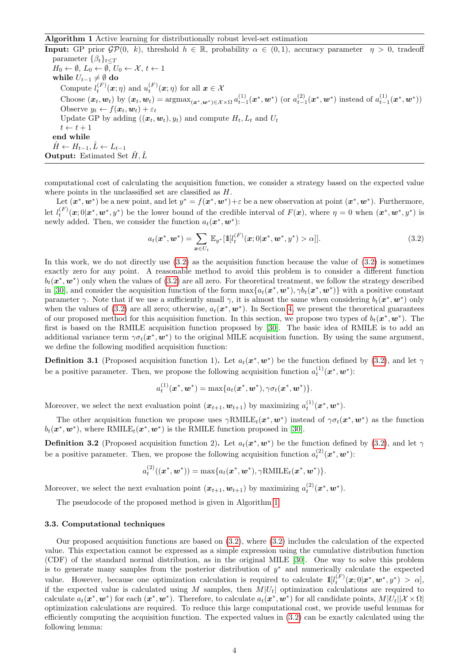## <span id="page-3-0"></span>Algorithm 1 Active learning for distributionally robust level-set estimation

**Input:** GP prior  $\mathcal{GP}(0, k)$ , threshold  $h \in \mathbb{R}$ , probability  $\alpha \in (0, 1)$ , accuracy parameter  $\eta > 0$ , tradeoff parameter  $\{\beta_t\}_{t \leq T}$  $H_0 \leftarrow \emptyset, L_0 \leftarrow \emptyset, U_0 \leftarrow \mathcal{X}, t \leftarrow 1$ while  $U_{t-1}\neq \emptyset$ do Compute  $l_t^{(F)}(\boldsymbol{x};\eta)$  and  $u_t^{(F)}(\boldsymbol{x};\eta)$  for all  $\boldsymbol{x} \in \mathcal{X}$ Choose  $(x_t, w_t)$  by  $(x_t, w_t) = \text{argmax}_{(x^*, w^*) \in \mathcal{X} \times \Omega} a_{t-1}^{(1)}(x^*, w^*)$  (or  $a_{t-1}^{(2)}(x^*, w^*)$  instead of  $a_{t-1}^{(1)}(x^*, w^*)$ ) Observe  $y_t \leftarrow f(\boldsymbol{x}_t, \boldsymbol{w}_t) + \varepsilon_t$ Update GP by adding  $((x_t, w_t), y_t)$  and compute  $H_t, L_t$  and  $U_t$  $t \leftarrow t + 1$ end while  $\hat{H} \leftarrow H_{t-1}, \hat{L} \leftarrow L_{t-1}$ **Output:** Estimated Set  $\hat{H}$ ,  $\hat{L}$ 

computational cost of calculating the acquisition function, we consider a strategy based on the expected value where points in the unclassified set are classified as  $H$ .

Let  $(x^*, w^*)$  be a new point, and let  $y^* = f(x^*, w^*) + \varepsilon$  be a new observation at point  $(x^*, w^*)$ . Furthermore, let  $l_t^{(F)}(\mathbf{x};0|\mathbf{x}^*,\mathbf{w}^*,y^*)$  be the lower bound of the credible interval of  $F(\mathbf{x})$ , where  $\eta=0$  when  $(\mathbf{x}^*,\mathbf{w}^*,y^*)$  is newly added. Then, we consider the function  $a_t(\mathbf{x}^*, \mathbf{w}^*)$ :

$$
a_t(\mathbf{x}^*, \mathbf{w}^*) = \sum_{\mathbf{x} \in U_t} \mathbb{E}_{y^*}[\mathbb{1}[l_t^{(F)}(\mathbf{x}; 0 | \mathbf{x}^*, \mathbf{w}^*, y^*) > \alpha]]. \tag{3.2}
$$

In this work, we do not directly use [\(3.2\)](#page-2-2) as the acquisition function because the value of [\(3.2\)](#page-2-2) is sometimes exactly zero for any point. A reasonable method to avoid this problem is to consider a different function  $b_t(\mathbf{x}^*,\mathbf{w}^*)$  only when the values of  $(3.2)$  are all zero. For theoretical treatment, we follow the strategy described in [\[30\]](#page-10-3), and consider the acquisition function of the form  $\max\{a_t(\bm{x}^*,\bm{w}^*),\gamma b_t(\bm{x}^*,\bm{w}^*)\}$  with a positive constant parameter  $\gamma$ . Note that if we use a sufficiently small  $\gamma$ , it is almost the same when considering  $b_t(\bm{x}^*, \bm{w}^*)$  only when the values of [\(3.2\)](#page-2-2) are all zero; otherwise,  $a_t(\mathbf{x}^*, \mathbf{w}^*)$ . In Section [4,](#page-4-0) we present the theoretical guarantees of our proposed method for this acquisition function. In this section, we propose two types of  $b_t(\mathbf{x}^*,\mathbf{w}^*)$ . The first is based on the RMILE acquisition function proposed by [\[30\]](#page-10-3). The basic idea of RMILE is to add an additional variance term  $\gamma \sigma_t(\bm{x}^*, \bm{w}^*)$  to the original MILE acquisition function. By using the same argument, we define the following modified acquisition function:

**Definition 3.1** (Proposed acquisition function 1). Let  $a_t(x^*, w^*)$  be the function defined by [\(3.2\)](#page-2-2), and let  $\gamma$ be a positive parameter. Then, we propose the following acquisition function  $a_t^{(1)}(x^*, w^*)$ :

$$
a_t^{(1)}(\boldsymbol{x}^*,\boldsymbol{w}^*)=\max\{a_t(\boldsymbol{x}^*,\boldsymbol{w}^*),\gamma\sigma_t(\boldsymbol{x}^*,\boldsymbol{w}^*)\}.
$$

Moreover, we select the next evaluation point  $(x_{t+1}, w_{t+1})$  by maximizing  $a_t^{(1)}(x^*, w^*)$ .

The other acquisition function we propose uses  $\gamma \text{RMILE}_t(\bm{x}^*, \bm{w}^*)$  instead of  $\gamma \sigma_t(\bm{x}^*, \bm{w}^*)$  as the function  $b_t(\mathbf{x}^*, \mathbf{w}^*)$ , where RMILE<sub>t</sub>( $\mathbf{x}^*, \mathbf{w}^*$ ) is the RMILE function proposed in [\[30\]](#page-10-3).

**Definition 3.2** (Proposed acquisition function 2). Let  $a_t(x^*, w^*)$  be the function defined by [\(3.2\)](#page-2-2), and let  $\gamma$ be a positive parameter. Then, we propose the following acquisition function  $a_t^{(2)}(x^*, w^*)$ :

$$
a_t^{(2)}((\boldsymbol{x}^*,\boldsymbol{w}^*))=\max\{a_t(\boldsymbol{x}^*,\boldsymbol{w}^*),\gamma{\rm RMILE}_t(\boldsymbol{x}^*,\boldsymbol{w}^*)\}.
$$

Moreover, we select the next evaluation point  $(x_{t+1}, w_{t+1})$  by maximizing  $a_t^{(2)}(x^*, w^*)$ .

The pseudocode of the proposed method is given in Algorithm [1.](#page-3-0)

## 3.3. Computational techniques

Our proposed acquisition functions are based on [\(3.2\)](#page-2-2), where [\(3.2\)](#page-2-2) includes the calculation of the expected value. This expectation cannot be expressed as a simple expression using the cumulative distribution function (CDF) of the standard normal distribution, as in the original MILE [\[30\]](#page-10-3). One way to solve this problem is to generate many samples from the posterior distribution of  $y^*$  and numerically calculate the expected value. However, because one optimization calculation is required to calculate  $1\llbracket l_t^{(F)}(x;0|x^*,w^*,y^*) > \alpha \rrbracket$ if the expected value is calculated using M samples, then  $M|U_t|$  optimization calculations are required to calculate  $a_t(\mathbf{x}^*, \mathbf{w}^*)$  for each  $(\mathbf{x}^*, \mathbf{w}^*)$ . Therefore, to calculate  $a_t(\mathbf{x}^*, \mathbf{w}^*)$  for all candidate points,  $M|U_t||\mathcal{X} \times \Omega$ optimization calculations are required. To reduce this large computational cost, we provide useful lemmas for efficiently computing the acquisition function. The expected values in  $(3.2)$  can be exactly calculated using the following lemma: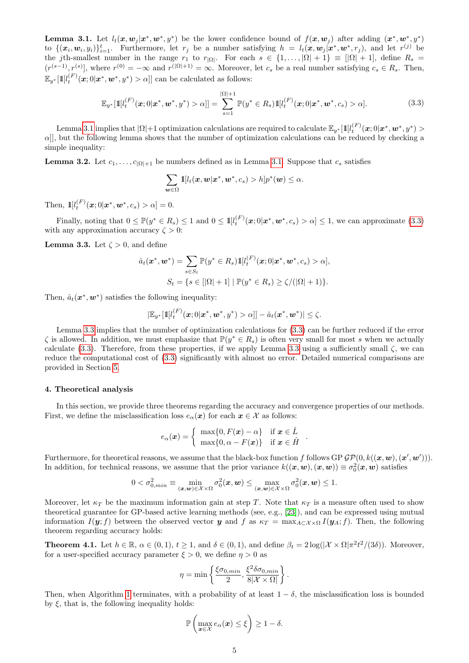<span id="page-4-1"></span>**Lemma 3.1.** Let  $l_t(x, w_j | x^*, w^*, y^*)$  be the lower confidence bound of  $f(x, w_j)$  after adding  $(x^*, w^*, y^*)$ to  $\{(\boldsymbol{x}_i, \boldsymbol{w}_i, y_i)\}_{i=1}^t$ . Furthermore, let  $r_j$  be a number satisfying  $h = l_t(\boldsymbol{x}, \boldsymbol{w}_j | \boldsymbol{x}^*, \boldsymbol{w}^*, r_j)$ , and let  $r^{(j)}$  be the jth-smallest number in the range  $r_1$  to  $r_{|\Omega|}$ . For each  $s \in \{1, \ldots, |\Omega| + 1\} \equiv |[\Omega| + 1]$ , define  $R_s$  $(r^{(s-1)}, r^{(s)}],$  where  $r^{(0)} = -\infty$  and  $r^{(|\Omega|+1)} = \infty$ . Moreover, let  $c_s$  be a real number satisfying  $c_s \in R_s$ . Then,  $\mathbb{E}_{y^*}[\mathbb{1}[l_t^{(F)}(\bm x;0|\bm x^*,\bm w^*,y^*)>\alpha]]$  can be calculated as follows:

$$
\mathbb{E}_{y^*}[\mathbb{1}[l_t^{(F)}(\boldsymbol{x};0|\boldsymbol{x}^*,\boldsymbol{w}^*,y^*)>\alpha]] = \sum_{s=1}^{|\Omega|+1} \mathbb{P}(y^* \in R_s) \mathbb{1}[l_t^{(F)}(\boldsymbol{x};0|\boldsymbol{x}^*,\boldsymbol{w}^*,c_s)>\alpha].
$$
\n(3.3)

<span id="page-4-2"></span> $\text{Lemma 3.1 implies that }|\Omega|+1 \text{ optimization calculations are required to calculate } \mathbb{E}_{y^{*}}[\mathbb{1}[l_{t}^{(F)}(\bm{x};0|\bm{x}^{*},\bm{w}^{*},y^{*})>$  $\text{Lemma 3.1 implies that }|\Omega|+1 \text{ optimization calculations are required to calculate } \mathbb{E}_{y^{*}}[\mathbb{1}[l_{t}^{(F)}(\bm{x};0|\bm{x}^{*},\bm{w}^{*},y^{*})>$  $\text{Lemma 3.1 implies that }|\Omega|+1 \text{ optimization calculations are required to calculate } \mathbb{E}_{y^{*}}[\mathbb{1}[l_{t}^{(F)}(\bm{x};0|\bm{x}^{*},\bm{w}^{*},y^{*})>$  $\alpha$ ], but the following lemma shows that the number of optimization calculations can be reduced by checking a simple inequality:

<span id="page-4-5"></span>**Lemma 3.2.** Let  $c_1, \ldots, c_{|\Omega|+1}$  be numbers defined as in Lemma [3.1.](#page-4-1) Suppose that  $c_s$  satisfies

$$
\sum_{\boldsymbol{w}\in\Omega}\mathbb{1}[l_t(\boldsymbol{x},\boldsymbol{w}|\boldsymbol{x}^*,\boldsymbol{w}^*,c_s)>h]p^*(\boldsymbol{w})\leq\alpha.
$$

Then,  $\mathbb{I}[l_t^{(F)}(\bm{x};0|\bm{x}^*,\bm{w}^*,c_s) > \alpha] = 0.$ 

Finally, noting that  $0 \leq \mathbb{P}(y^* \in R_s) \leq 1$  and  $0 \leq 1$   $\mathbb{I}[l_t^{(F)}(\boldsymbol{x};0|\boldsymbol{x}^*,\boldsymbol{w}^*,c_s) > \alpha] \leq 1$ , we can approximate [\(3.3\)](#page-4-2) with any approximation accuracy  $\zeta > 0$ :

<span id="page-4-3"></span>**Lemma 3.3.** Let  $\zeta > 0$ , and define

$$
\hat{a}_t(\boldsymbol{x}^*, \boldsymbol{w}^*) = \sum_{s \in S_t} \mathbb{P}(y^* \in R_s) \mathbb{1}[l_t^{(F)}(\boldsymbol{x}; 0 | \boldsymbol{x}^*, \boldsymbol{w}^*, c_s) > \alpha],
$$
  

$$
S_t = \{ s \in [|\Omega| + 1] \mid \mathbb{P}(y^* \in R_s) \ge \zeta/(|\Omega| + 1) \}.
$$

Then,  $\hat{a}_t(\mathbf{x}^*, \mathbf{w}^*)$  satisfies the following inequality:

$$
|\mathbb{E}_{y^*}[\mathbb{1}[l_t^{(F)}(\bm{x};0|\bm{x}^*,\bm{w}^*,y^*)>\alpha]] - \hat{a}_t(\bm{x}^*,\bm{w}^*)| \leq \zeta.
$$

Lemma [3.3](#page-4-3) implies that the number of optimization calculations for [\(3.3\)](#page-4-2) can be further reduced if the error  $\zeta$  is allowed. In addition, we must emphasize that  $\mathbb{P}(y^* \in R_s)$  is often very small for most s when we actually calculate [\(3.3\)](#page-4-2). Therefore, from these properties, if we apply Lemma [3.3](#page-4-3) using a sufficiently small  $\zeta$ , we can reduce the computational cost of [\(3.3\)](#page-4-2) significantly with almost no error. Detailed numerical comparisons are provided in Section [5.](#page-5-0)

### <span id="page-4-0"></span>4. Theoretical analysis

In this section, we provide three theorems regarding the accuracy and convergence properties of our methods. First, we define the misclassification loss  $e_{\alpha}(x)$  for each  $x \in \mathcal{X}$  as follows:

$$
e_{\alpha}(\boldsymbol{x}) = \begin{cases} \max\{0, F(\boldsymbol{x}) - \alpha\} & \text{if } \boldsymbol{x} \in \hat{L} \\ \max\{0, \alpha - F(\boldsymbol{x})\} & \text{if } \boldsymbol{x} \in \hat{H} \end{cases}
$$

Furthermore, for theoretical reasons, we assume that the black-box function f follows GP  $\mathcal{GP}(0, k((\bm{x}, \bm{w}), (\bm{x}', \bm{w}')))$ . In addition, for technical reasons, we assume that the prior variance  $k((x, w), (x, w)) \equiv \sigma_0^2(x, w)$  satisfies

.

$$
0 < \sigma_{0,min}^2 \equiv \min_{(\boldsymbol{x}, \boldsymbol{w}) \in \mathcal{X} \times \Omega} \sigma_0^2(\boldsymbol{x}, \boldsymbol{w}) \le \max_{(\boldsymbol{x}, \boldsymbol{w}) \in \mathcal{X} \times \Omega} \sigma_0^2(\boldsymbol{x}, \boldsymbol{w}) \le 1.
$$

Moreover, let  $\kappa_T$  be the maximum information gain at step T. Note that  $\kappa_T$  is a measure often used to show theoretical guarantee for GP-based active learning methods (see, e.g., [\[23\]](#page-10-10)), and can be expressed using mutual information  $I(\mathbf{y}; f)$  between the observed vector y and f as  $\kappa_T = \max_{A \subset \mathcal{X} \times \Omega} I(\mathbf{y}_A; f)$ . Then, the following theorem regarding accuracy holds:

<span id="page-4-4"></span>**Theorem 4.1.** Let  $h \in \mathbb{R}$ ,  $\alpha \in (0,1)$ ,  $t \ge 1$ , and  $\delta \in (0,1)$ , and define  $\beta_t = 2 \log(|\mathcal{X} \times \Omega|\pi^2 t^2/(3\delta))$ . Moreover, for a user-specified accuracy parameter  $\xi > 0$ , we define  $\eta > 0$  as

$$
\eta = \min \left\{ \frac{\xi \sigma_{0,min}}{2}, \frac{\xi^2 \delta \sigma_{0,min}}{8|\mathcal{X} \times \Omega|} \right\}.
$$

Then, when Algorithm [1](#page-3-0) terminates, with a probability of at least  $1 - \delta$ , the misclassification loss is bounded by  $\xi$ , that is, the following inequality holds:

$$
\mathbb{P}\left(\max_{\boldsymbol{x}\in\mathcal{X}}e_{\alpha}(\boldsymbol{x})\leq\xi\right)\geq1-\delta.
$$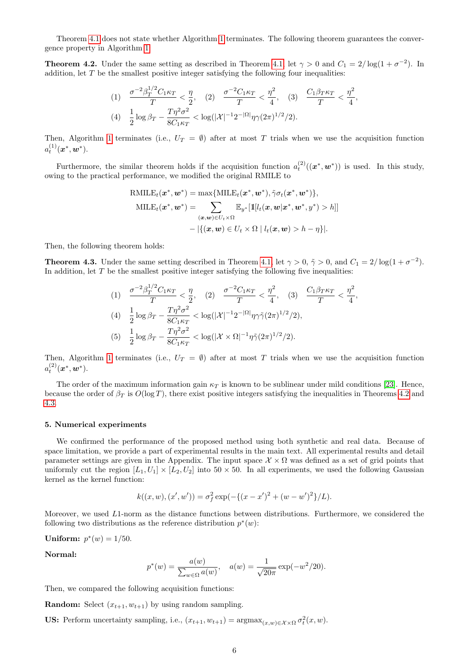Theorem [4.1](#page-4-4) does not state whether Algorithm [1](#page-3-0) terminates. The following theorem guarantees the convergence property in Algorithm [1:](#page-3-0)

<span id="page-5-1"></span>**Theorem 4.2.** Under the same setting as described in Theorem [4.1,](#page-4-4) let  $\gamma > 0$  and  $C_1 = 2/\log(1 + \sigma^{-2})$ . In addition, let  $T$  be the smallest positive integer satisfying the following four inequalities:

$$
(1) \quad \frac{\sigma^{-2}\beta_T^{1/2}C_1\kappa_T}{T} < \frac{\eta}{2}, \quad (2) \quad \frac{\sigma^{-2}C_1\kappa_T}{T} < \frac{\eta^2}{4}, \quad (3) \quad \frac{C_1\beta_T\kappa_T}{T} < \frac{\eta^2}{4},
$$
\n
$$
(4) \quad \frac{1}{2}\log\beta_T - \frac{T\eta^2\sigma^2}{8C_1\kappa_T} < \log(|\mathcal{X}|^{-1}2^{-|\Omega|}\eta\gamma(2\pi)^{1/2}/2).
$$

Then, Algorithm [1](#page-3-0) terminates (i.e.,  $U_T = \emptyset$ ) after at most T trials when we use the acquisition function  $a_t^{(1)}(\boldsymbol{x}^*,\boldsymbol{w}^*).$ 

Furthermore, the similar theorem holds if the acquisition function  $a_t^{(2)}((\mathbf{x}^*, \mathbf{w}^*))$  is used. In this study, owing to the practical performance, we modified the original RMILE to

$$
\text{RMILE}_{t}(\boldsymbol{x}^{*}, \boldsymbol{w}^{*}) = \max \{ \text{MILE}_{t}(\boldsymbol{x}^{*}, \boldsymbol{w}^{*}), \tilde{\gamma} \sigma_{t}(\boldsymbol{x}^{*}, \boldsymbol{w}^{*}) \},
$$

$$
\text{MILE}_{t}(\boldsymbol{x}^{*}, \boldsymbol{w}^{*}) = \sum_{(\boldsymbol{x}, \boldsymbol{w}) \in U_{t} \times \Omega} \mathbb{E}_{y^{*}}[\mathbb{1}[l_{t}(\boldsymbol{x}, \boldsymbol{w} | \boldsymbol{x}^{*}, \boldsymbol{w}^{*}, y^{*}) > h]]
$$

$$
- |\{(\boldsymbol{x}, \boldsymbol{w}) \in U_{t} \times \Omega | l_{t}(\boldsymbol{x}, \boldsymbol{w}) > h - \eta \}|.
$$

Then, the following theorem holds:

 $1/2$ 

<span id="page-5-2"></span>**Theorem 4.3.** Under the same setting described in Theorem [4.1,](#page-4-4) let  $\gamma > 0$ ,  $\tilde{\gamma} > 0$ , and  $C_1 = 2/\log(1 + \sigma^{-2})$ . In addition, let  $T$  be the smallest positive integer satisfying the following five inequalities:

(1) 
$$
\frac{\sigma^{-2}\beta_T^{1/2}C_1\kappa_T}{T} < \frac{\eta}{2}, \quad (2) \quad \frac{\sigma^{-2}C_1\kappa_T}{T} < \frac{\eta^2}{4}, \quad (3) \quad \frac{C_1\beta_T\kappa_T}{T} < \frac{\eta^2}{4},
$$
\n(4) 
$$
\frac{1}{2}\log\beta_T - \frac{T\eta^2\sigma^2}{8C_1\kappa_T} < \log(|\mathcal{X}|^{-1}2^{-|\Omega|}\eta\gamma\tilde{\gamma}(2\pi)^{1/2}/2),
$$
\n(5) 
$$
\frac{1}{2}\log\beta_T - \frac{T\eta^2\sigma^2}{8C_1\kappa_T} < \log(|\mathcal{X} \times \Omega|^{-1}\eta\tilde{\gamma}(2\pi)^{1/2}/2).
$$

Then, Algorithm [1](#page-3-0) terminates (i.e.,  $U_T = \emptyset$ ) after at most T trials when we use the acquisition function  $a_t^{(2)}(\boldsymbol{x}^*,\boldsymbol{w}^*).$ 

The order of the maximum information gain  $\kappa_T$  is known to be sublinear under mild conditions [\[23\]](#page-10-10). Hence, because the order of  $\beta_T$  is  $O(\log T)$ , there exist positive integers satisfying the inequalities in Theorems [4.2](#page-5-1) and [4.3.](#page-5-2)

#### <span id="page-5-0"></span>5. Numerical experiments

We confirmed the performance of the proposed method using both synthetic and real data. Because of space limitation, we provide a part of experimental results in the main text. All experimental results and detail parameter settings are given in the Appendix. The input space  $\mathcal{X} \times \Omega$  was defined as a set of grid points that uniformly cut the region  $[L_1, U_1] \times [L_2, U_2]$  into  $50 \times 50$ . In all experiments, we used the following Gaussian kernel as the kernel function:

$$
k((x, w), (x', w')) = \sigma_f^2 \exp(-\{(x - x')^2 + (w - w')^2\}/L).
$$

Moreover, we used L1-norm as the distance functions between distributions. Furthermore, we considered the following two distributions as the reference distribution  $p^*(w)$ :

**Uniform:** 
$$
p^*(w) = 1/50
$$
.

Normal:

$$
p^*(w) = \frac{a(w)}{\sum_{w \in \Omega} a(w)}, \quad a(w) = \frac{1}{\sqrt{20\pi}} \exp(-w^2/20).
$$

Then, we compared the following acquisition functions:

**Random:** Select  $(x_{t+1}, w_{t+1})$  by using random sampling.

US: Perform uncertainty sampling, i.e.,  $(x_{t+1}, w_{t+1}) = \operatorname{argmax}_{(x,w) \in \mathcal{X} \times \Omega} \sigma_t^2(x, w)$ .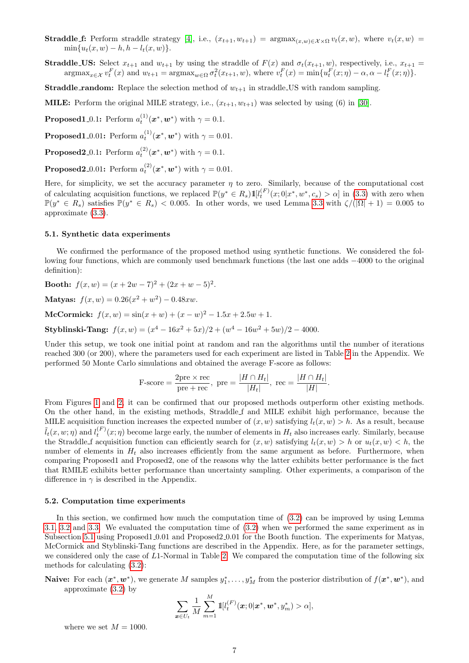- **Straddle f:** Perform straddle strategy [\[4\]](#page-9-1), i.e.,  $(x_{t+1}, w_{t+1}) = \arg \max_{(x, w) \in \mathcal{X} \times \Omega} v_t(x, w)$ , where  $v_t(x, w) =$  $\min\{u_t(x, w) - h, h - l_t(x, w)\}.$
- **Straddle US:** Select  $x_{t+1}$  and  $w_{t+1}$  by using the straddle of  $F(x)$  and  $\sigma_t(x_{t+1}, w)$ , respectively, i.e.,  $x_{t+1}$  $\operatorname{argmax}_{x \in \mathcal{X}} v_t^F(x)$  and  $w_{t+1} = \operatorname{argmax}_{w \in \Omega} \sigma_t^2(x_{t+1}, w)$ , where  $v_t^F(x) = \min \{ u_t^F(x; \eta) - \alpha, \alpha - l_t^F(x; \eta) \}.$

**Straddle\_random:** Replace the selection method of  $w_{t+1}$  in straddle US with random sampling.

**MILE:** Perform the original MILE strategy, i.e.,  $(x_{t+1}, w_{t+1})$  was selected by using (6) in [\[30\]](#page-10-3).

**Proposed1\_0.1:** Perform  $a_t^{(1)}(\boldsymbol{x}^*, \boldsymbol{w}^*)$  with  $\gamma = 0.1$ .

**Proposed1**\_0.01: Perform  $a_t^{(1)}(\boldsymbol{x}^*, \boldsymbol{w}^*)$  with  $\gamma = 0.01$ .

**Proposed2\_0.1:** Perform  $a_t^{(2)}(\boldsymbol{x}^*, \boldsymbol{w}^*)$  with  $\gamma = 0.1$ .

**Proposed2**\_0.01: Perform  $a_t^{(2)}(\boldsymbol{x}^*, \boldsymbol{w}^*)$  with  $\gamma = 0.01$ .

Here, for simplicity, we set the accuracy parameter  $\eta$  to zero. Similarly, because of the computational cost of calculating acquisition functions, we replaced  $\mathbb{P}(y^* \in R_s)1\llbracket l_t^{(F)}(x;0|x^*,w^*,c_s) > \alpha \rrbracket$  in [\(3.3\)](#page-4-2) with zero when  $\mathbb{P}(y^* \in R_s)$  satisfies  $\mathbb{P}(y^* \in R_s)$  < 0.005. In other words, we used Lemma [3.3](#page-4-3) with  $\zeta/(|\Omega|+1) = 0.005$  to approximate [\(3.3\)](#page-4-2).

## <span id="page-6-0"></span>5.1. Synthetic data experiments

We confirmed the performance of the proposed method using synthetic functions. We considered the following four functions, which are commonly used benchmark functions (the last one adds −4000 to the original definition):

**Booth:**  $f(x, w) = (x + 2w - 7)^2 + (2x + w - 5)^2$ .

Matyas:  $f(x, w) = 0.26(x^2 + w^2) - 0.48xw$ .

McCormick:  $f(x, w) = \sin(x + w) + (x - w)^2 - 1.5x + 2.5w + 1.$ 

Styblinski-Tang:  $f(x, w) = (x^4 - 16x^2 + 5x)/2 + (w^4 - 16w^2 + 5w)/2 - 4000$ .

Under this setup, we took one initial point at random and ran the algorithms until the number of iterations reached 300 (or 200), where the parameters used for each experiment are listed in Table [2](#page-19-0) in the Appendix. We performed 50 Monte Carlo simulations and obtained the average F-score as follows:

$$
\text{F-score} = \frac{2\text{pre} \times \text{rec}}{\text{pre} + \text{rec}}, \text{ pre} = \frac{|H \cap H_t|}{|H_t|}, \text{ rec} = \frac{|H \cap H_t|}{|H|}.
$$

From Figures [1](#page-7-0) and [2,](#page-7-1) it can be confirmed that our proposed methods outperform other existing methods. On the other hand, in the existing methods, Straddle f and MILE exhibit high performance, because the MILE acquisition function increases the expected number of  $(x, w)$  satisfying  $l_t(x, w) > h$ . As a result, because  $\tilde{l}_t(x, w; \eta)$  and  $l_t^{(F)}(x; \eta)$  become large early, the number of elements in  $H_t$  also increases early. Similarly, because the Straddle f acquisition function can efficiently search for  $(x, w)$  satisfying  $l_t(x, w) > h$  or  $u_t(x, w) < h$ , the number of elements in  $H_t$  also increases efficiently from the same argument as before. Furthermore, when comparing Proposed1 and Proposed2, one of the reasons why the latter exhibits better performance is the fact that RMILE exhibits better performance than uncertainty sampling. Other experiments, a comparison of the difference in  $\gamma$  is described in the Appendix.

#### <span id="page-6-1"></span>5.2. Computation time experiments

In this section, we confirmed how much the computation time of [\(3.2\)](#page-2-2) can be improved by using Lemma [3.1,](#page-4-1) [3.2](#page-4-5) and [3.3.](#page-4-3) We evaluated the computation time of [\(3.2\)](#page-2-2) when we performed the same experiment as in Subsection [5.1](#page-6-0) using Proposed1 0.01 and Proposed2 0.01 for the Booth function. The experiments for Matyas, McCormick and Styblinski-Tang functions are described in the Appendix. Here, as for the parameter settings, we considered only the case of  $L1$ -Normal in Table [2.](#page-19-0) We compared the computation time of the following six methods for calculating [\(3.2\)](#page-2-2):

**Naive:** For each  $(\mathbf{x}^*, \mathbf{w}^*)$ , we generate M samples  $y_1^*, \ldots, y_M^*$  from the posterior distribution of  $f(\mathbf{x}^*, \mathbf{w}^*)$ , and approximate [\(3.2\)](#page-2-2) by  $\ddot{\phantom{0}}$ 

$$
\sum_{\bm{x}\in U_t}\frac{1}{M}\sum_{m=1}^M\mathbb{1}[l_t^{(F)}(\bm{x};0|\bm{x}^*,\bm{w}^*,y_m^*)>\alpha],
$$

where we set  $M = 1000$ .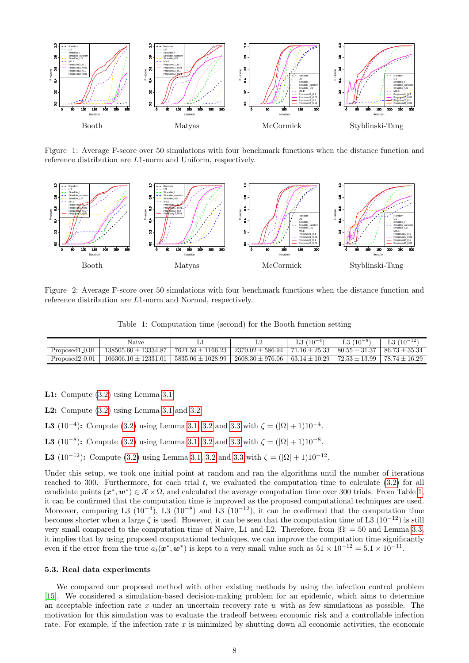

<span id="page-7-0"></span>Figure 1: Average F-score over 50 simulations with four benchmark functions when the distance function and reference distribution are L1-norm and Uniform, respectively.



<span id="page-7-1"></span>Figure 2: Average F-score over 50 simulations with four benchmark functions when the distance function and reference distribution are L1-norm and Normal, respectively.

<span id="page-7-2"></span>Table 1: Computation time (second) for the Booth function setting

|                  | Naive                    |                       |                      | $L3(10^{-4})$     | $(10^{-8})$       | L3 $(10^{-12})$   |
|------------------|--------------------------|-----------------------|----------------------|-------------------|-------------------|-------------------|
| Proposed1_0.01   | $138505.60 \pm 13334.87$ | $7621.59 \pm 1166.23$ | $2370.02 \pm 586.94$ | $71.16 \pm 25.33$ | $80.55 \pm 31.37$ | $86.73 \pm 35.34$ |
| $Proposed2_0.01$ | $106306.10 \pm 12331.01$ | $5835.06 \pm 1028.99$ | $2608.30 \pm 976.06$ | $63.14 \pm 10.29$ | $72.53 \pm 13.99$ | $78.74 \pm 16.29$ |

L1: Compute [\(3.2\)](#page-2-2) using Lemma [3.1.](#page-4-1)

L2: Compute [\(3.2\)](#page-2-2) using Lemma [3.1](#page-4-1) and [3.2.](#page-4-5)

- **L3** (10<sup>-4</sup>): Compute [\(3.2\)](#page-2-2) using Lemma [3.1,](#page-4-1) [3.2](#page-4-5) and [3.3](#page-4-3) with  $\zeta = (|\Omega| + 1)10^{-4}$ .
- **L3** (10<sup>-8</sup>): Compute [\(3.2\)](#page-2-2) using Lemma [3.1,](#page-4-1) [3.2](#page-4-5) and [3.3](#page-4-3) with  $\zeta = (|\Omega| + 1)10^{-8}$ .
- **L3** (10<sup>-12</sup>): Compute [\(3.2\)](#page-2-2) using Lemma [3.1,](#page-4-1) [3.2](#page-4-5) and [3.3](#page-4-3) with  $\zeta = (|\Omega| + 1)10^{-12}$ .

Under this setup, we took one initial point at random and ran the algorithms until the number of iterations reached to 300. Furthermore, for each trial  $t$ , we evaluated the computation time to calculate  $(3.2)$  for all candidate points  $(x^*, w^*) \in \mathcal{X} \times \Omega$ , and calculated the average computation time over 300 trials. From Table [1,](#page-7-2) it can be confirmed that the computation time is improved as the proposed computational techniques are used. Moreover, comparing L3 (10<sup>-4</sup>), L3 (10<sup>-8</sup>) and L3 (10<sup>-12</sup>), it can be confirmed that the computation time becomes shorter when a large  $\zeta$  is used. However, it can be seen that the computation time of L3 (10<sup>-12</sup>) is still very small compared to the computation time of Naive, L1 and L2. Therefore, from  $|\Omega| = 50$  and Lemma [3.3,](#page-4-3) it implies that by using proposed computational techniques, we can improve the computation time significantly even if the error from the true  $a_t(\mathbf{x}^*, \mathbf{w}^*)$  is kept to a very small value such as  $51 \times 10^{-12} = 5.1 \times 10^{-11}$ .

#### <span id="page-7-3"></span>5.3. Real data experiments

We compared our proposed method with other existing methods by using the infection control problem [\[15\]](#page-9-17). We considered a simulation-based decision-making problem for an epidemic, which aims to determine an acceptable infection rate  $x$  under an uncertain recovery rate  $w$  with as few simulations as possible. The motivation for this simulation was to evaluate the tradeoff between economic risk and a controllable infection rate. For example, if the infection rate  $x$  is minimized by shutting down all economic activities, the economic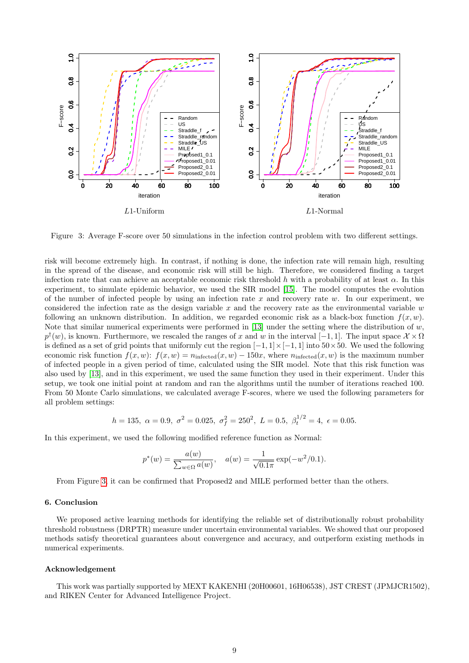

<span id="page-8-0"></span>Figure 3: Average F-score over 50 simulations in the infection control problem with two different settings.

risk will become extremely high. In contrast, if nothing is done, the infection rate will remain high, resulting in the spread of the disease, and economic risk will still be high. Therefore, we considered finding a target infection rate that can achieve an acceptable economic risk threshold h with a probability of at least  $\alpha$ . In this experiment, to simulate epidemic behavior, we used the SIR model [\[15\]](#page-9-17). The model computes the evolution of the number of infected people by using an infection rate x and recovery rate w. In our experiment, we considered the infection rate as the design variable  $x$  and the recovery rate as the environmental variable  $w$ following an unknown distribution. In addition, we regarded economic risk as a black-box function  $f(x, w)$ . Note that similar numerical experiments were performed in [\[13\]](#page-9-18) under the setting where the distribution of  $w$ ,  $p^{\dagger}(w)$ , is known. Furthermore, we rescaled the ranges of x and w in the interval  $[-1,1]$ . The input space  $\mathcal{X} \times \Omega$ is defined as a set of grid points that uniformly cut the region  $[-1, 1] \times [-1, 1]$  into  $50 \times 50$ . We used the following economic risk function  $f(x, w)$ :  $f(x, w) = n_{\text{infected}}(x, w) - 150x$ , where  $n_{\text{infected}}(x, w)$  is the maximum number of infected people in a given period of time, calculated using the SIR model. Note that this risk function was also used by [\[13\]](#page-9-18), and in this experiment, we used the same function they used in their experiment. Under this setup, we took one initial point at random and ran the algorithms until the number of iterations reached 100. From 50 Monte Carlo simulations, we calculated average F-scores, where we used the following parameters for all problem settings:

$$
h = 135
$$
,  $\alpha = 0.9$ ,  $\sigma^2 = 0.025$ ,  $\sigma_f^2 = 250^2$ ,  $L = 0.5$ ,  $\beta_t^{1/2} = 4$ ,  $\epsilon = 0.05$ .

In this experiment, we used the following modified reference function as Normal:

$$
p^*(w) = \frac{a(w)}{\sum_{w \in \Omega} a(w)}, \quad a(w) = \frac{1}{\sqrt{0.1\pi}} \exp(-w^2/0.1).
$$

From Figure [3,](#page-8-0) it can be confirmed that Proposed2 and MILE performed better than the others.

# 6. Conclusion

We proposed active learning methods for identifying the reliable set of distributionally robust probability threshold robustness (DRPTR) measure under uncertain environmental variables. We showed that our proposed methods satisfy theoretical guarantees about convergence and accuracy, and outperform existing methods in numerical experiments.

#### Acknowledgement

This work was partially supported by MEXT KAKENHI (20H00601, 16H06538), JST CREST (JPMJCR1502), and RIKEN Center for Advanced Intelligence Project.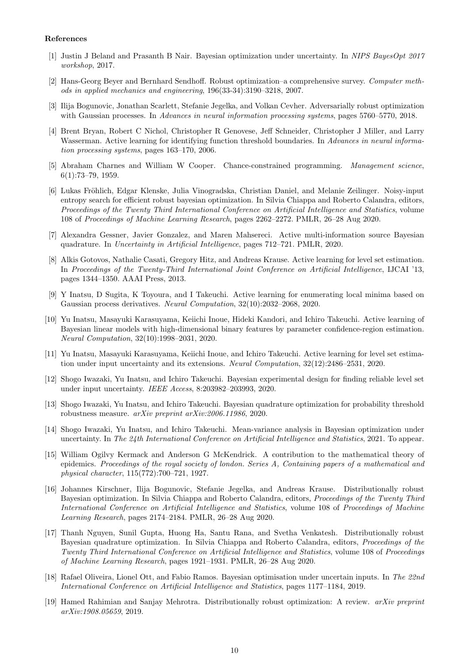## References

- <span id="page-9-8"></span>[1] Justin J Beland and Prasanth B Nair. Bayesian optimization under uncertainty. In NIPS BayesOpt 2017 workshop, 2017.
- <span id="page-9-0"></span>[2] Hans-Georg Beyer and Bernhard Sendhoff. Robust optimization–a comprehensive survey. Computer methods in applied mechanics and engineering, 196(33-34):3190–3218, 2007.
- <span id="page-9-7"></span>[3] Ilija Bogunovic, Jonathan Scarlett, Stefanie Jegelka, and Volkan Cevher. Adversarially robust optimization with Gaussian processes. In Advances in neural information processing systems, pages 5760–5770, 2018.
- <span id="page-9-1"></span>[4] Brent Bryan, Robert C Nichol, Christopher R Genovese, Jeff Schneider, Christopher J Miller, and Larry Wasserman. Active learning for identifying function threshold boundaries. In Advances in neural information processing systems, pages 163–170, 2006.
- <span id="page-9-3"></span>[5] Abraham Charnes and William W Cooper. Chance-constrained programming. Management science, 6(1):73–79, 1959.
- <span id="page-9-10"></span>[6] Lukas Fröhlich, Edgar Klenske, Julia Vinogradska, Christian Daniel, and Melanie Zeilinger. Noisy-input entropy search for efficient robust bayesian optimization. In Silvia Chiappa and Roberto Calandra, editors, Proceedings of the Twenty Third International Conference on Artificial Intelligence and Statistics, volume 108 of Proceedings of Machine Learning Research, pages 2262–2272. PMLR, 26–28 Aug 2020.
- <span id="page-9-11"></span>[7] Alexandra Gessner, Javier Gonzalez, and Maren Mahsereci. Active multi-information source Bayesian quadrature. In Uncertainty in Artificial Intelligence, pages 712–721. PMLR, 2020.
- <span id="page-9-2"></span>[8] Alkis Gotovos, Nathalie Casati, Gregory Hitz, and Andreas Krause. Active learning for level set estimation. In Proceedings of the Twenty-Third International Joint Conference on Artificial Intelligence, IJCAI '13, pages 1344–1350. AAAI Press, 2013.
- <span id="page-9-5"></span>[9] Y Inatsu, D Sugita, K Toyoura, and I Takeuchi. Active learning for enumerating local minima based on Gaussian process derivatives. Neural Computation, 32(10):2032–2068, 2020.
- <span id="page-9-4"></span>[10] Yu Inatsu, Masayuki Karasuyama, Keiichi Inoue, Hideki Kandori, and Ichiro Takeuchi. Active learning of Bayesian linear models with high-dimensional binary features by parameter confidence-region estimation. Neural Computation, 32(10):1998–2031, 2020.
- <span id="page-9-6"></span>[11] Yu Inatsu, Masayuki Karasuyama, Keiichi Inoue, and Ichiro Takeuchi. Active learning for level set estimation under input uncertainty and its extensions. Neural Computation, 32(12):2486–2531, 2020.
- <span id="page-9-13"></span>[12] Shogo Iwazaki, Yu Inatsu, and Ichiro Takeuchi. Bayesian experimental design for finding reliable level set under input uncertainty. IEEE Access, 8:203982–203993, 2020.
- <span id="page-9-18"></span>[13] Shogo Iwazaki, Yu Inatsu, and Ichiro Takeuchi. Bayesian quadrature optimization for probability threshold robustness measure. arXiv preprint arXiv:2006.11986, 2020.
- <span id="page-9-12"></span>[14] Shogo Iwazaki, Yu Inatsu, and Ichiro Takeuchi. Mean-variance analysis in Bayesian optimization under uncertainty. In The 24th International Conference on Artificial Intelligence and Statistics, 2021. To appear.
- <span id="page-9-17"></span>[15] William Ogilvy Kermack and Anderson G McKendrick. A contribution to the mathematical theory of epidemics. Proceedings of the royal society of london. Series A, Containing papers of a mathematical and physical character, 115(772):700–721, 1927.
- <span id="page-9-15"></span>[16] Johannes Kirschner, Ilija Bogunovic, Stefanie Jegelka, and Andreas Krause. Distributionally robust Bayesian optimization. In Silvia Chiappa and Roberto Calandra, editors, Proceedings of the Twenty Third International Conference on Artificial Intelligence and Statistics, volume 108 of Proceedings of Machine Learning Research, pages 2174–2184. PMLR, 26–28 Aug 2020.
- <span id="page-9-16"></span>[17] Thanh Nguyen, Sunil Gupta, Huong Ha, Santu Rana, and Svetha Venkatesh. Distributionally robust Bayesian quadrature optimization. In Silvia Chiappa and Roberto Calandra, editors, Proceedings of the Twenty Third International Conference on Artificial Intelligence and Statistics, volume 108 of Proceedings of Machine Learning Research, pages 1921–1931. PMLR, 26–28 Aug 2020.
- <span id="page-9-9"></span>[18] Rafael Oliveira, Lionel Ott, and Fabio Ramos. Bayesian optimisation under uncertain inputs. In The 22nd International Conference on Artificial Intelligence and Statistics, pages 1177–1184, 2019.
- <span id="page-9-14"></span>[19] Hamed Rahimian and Sanjay Mehrotra. Distributionally robust optimization: A review. arXiv preprint arXiv:1908.05659, 2019.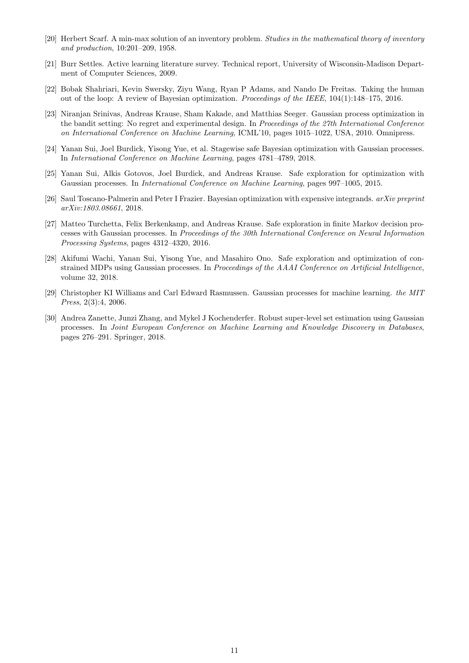- <span id="page-10-9"></span>[20] Herbert Scarf. A min-max solution of an inventory problem. Studies in the mathematical theory of inventory and production, 10:201–209, 1958.
- <span id="page-10-1"></span>[21] Burr Settles. Active learning literature survey. Technical report, University of Wisconsin-Madison Department of Computer Sciences, 2009.
- <span id="page-10-2"></span>[22] Bobak Shahriari, Kevin Swersky, Ziyu Wang, Ryan P Adams, and Nando De Freitas. Taking the human out of the loop: A review of Bayesian optimization. Proceedings of the IEEE, 104(1):148–175, 2016.
- <span id="page-10-10"></span>[23] Niranjan Srinivas, Andreas Krause, Sham Kakade, and Matthias Seeger. Gaussian process optimization in the bandit setting: No regret and experimental design. In Proceedings of the 27th International Conference on International Conference on Machine Learning, ICML'10, pages 1015–1022, USA, 2010. Omnipress.
- <span id="page-10-6"></span>[24] Yanan Sui, Joel Burdick, Yisong Yue, et al. Stagewise safe Bayesian optimization with Gaussian processes. In International Conference on Machine Learning, pages 4781–4789, 2018.
- <span id="page-10-4"></span>[25] Yanan Sui, Alkis Gotovos, Joel Burdick, and Andreas Krause. Safe exploration for optimization with Gaussian processes. In International Conference on Machine Learning, pages 997–1005, 2015.
- <span id="page-10-8"></span>[26] Saul Toscano-Palmerin and Peter I Frazier. Bayesian optimization with expensive integrands. arXiv preprint arXiv:1803.08661, 2018.
- <span id="page-10-5"></span>[27] Matteo Turchetta, Felix Berkenkamp, and Andreas Krause. Safe exploration in finite Markov decision processes with Gaussian processes. In Proceedings of the 30th International Conference on Neural Information Processing Systems, pages 4312–4320, 2016.
- <span id="page-10-7"></span>[28] Akifumi Wachi, Yanan Sui, Yisong Yue, and Masahiro Ono. Safe exploration and optimization of constrained MDPs using Gaussian processes. In Proceedings of the AAAI Conference on Artificial Intelligence, volume 32, 2018.
- <span id="page-10-0"></span>[29] Christopher KI Williams and Carl Edward Rasmussen. Gaussian processes for machine learning. the MIT Press, 2(3):4, 2006.
- <span id="page-10-3"></span>[30] Andrea Zanette, Junzi Zhang, and Mykel J Kochenderfer. Robust super-level set estimation using Gaussian processes. In Joint European Conference on Machine Learning and Knowledge Discovery in Databases, pages 276–291. Springer, 2018.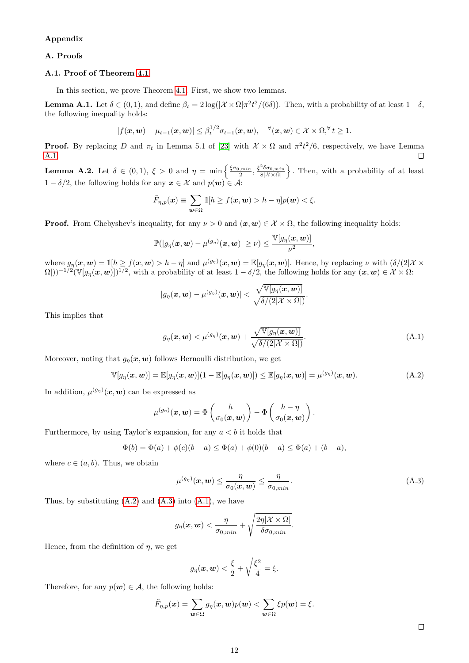# Appendix

# A. Proofs

# A.1. Proof of Theorem [4.1](#page-4-4)

In this section, we prove Theorem [4.1.](#page-4-4) First, we show two lemmas.

<span id="page-11-0"></span>**Lemma A.1.** Let  $\delta \in (0,1)$ , and define  $\beta_t = 2\log(|\mathcal{X} \times \Omega|\pi^2 t^2/(6\delta))$ . Then, with a probability of at least  $1-\delta$ , the following inequality holds:

$$
|f(\boldsymbol{x},\boldsymbol{w}) - \mu_{t-1}(\boldsymbol{x},\boldsymbol{w})| \leq \beta_t^{1/2} \sigma_{t-1}(\boldsymbol{x},\boldsymbol{w}), \quad \forall (\boldsymbol{x},\boldsymbol{w}) \in \mathcal{X} \times \Omega, \forall t \geq 1.
$$

**Proof.** By replacing D and  $\pi_t$  in Lemma 5.1 of [\[23\]](#page-10-10) with  $\mathcal{X} \times \Omega$  and  $\pi^2 t^2/6$ , respectively, we have Lemma [A.1.](#page-11-0)  $\Box$ 

<span id="page-11-4"></span>**Lemma A.2.** Let  $\delta \in (0,1)$ ,  $\xi > 0$  and  $\eta = \min \left\{ \frac{\xi \sigma_{0,min}}{2}, \frac{\xi^2 \delta \sigma_{0,min}}{8|\mathcal{X} \times \Omega|} \right\}$ . Then, with a probability of at least  $1 - \delta/2$ , the following holds for any  $x \in \mathcal{X}$  and  $p(\mathbf{w}) \in \mathcal{A}$ :

$$
\tilde{F}_{\eta,p}(\boldsymbol{x}) \equiv \sum_{\boldsymbol{w}\in\Omega} \mathbb{1}[h \ge f(\boldsymbol{x},\boldsymbol{w}) > h - \eta] p(\boldsymbol{w}) < \xi.
$$

**Proof.** From Chebyshev's inequality, for any  $\nu > 0$  and  $(x, w) \in \mathcal{X} \times \Omega$ , the following inequality holds:

$$
\mathbb{P}(|g_{\eta}(\boldsymbol{x},\boldsymbol{w})-\mu^{(g_{\eta})}(\boldsymbol{x},\boldsymbol{w})|\geq\nu)\leq\frac{\mathbb{V}[g_{\eta}(\boldsymbol{x},\boldsymbol{w})]}{\nu^2},
$$

where  $g_{\eta}(\boldsymbol{x},\boldsymbol{w}) = \mathbb{1}[h \ge f(\boldsymbol{x},\boldsymbol{w}) > h - \eta]$  and  $\mu^{(g_{\eta})}(\boldsymbol{x},\boldsymbol{w}) = \mathbb{E}[g_{\eta}(\boldsymbol{x},\boldsymbol{w})]$ . Hence, by replacing  $\nu$  with  $(\delta/(2|\mathcal{X} \times \mathcal{Y}))$  $\Omega(1)$ <sup>-1/2</sup>( $\mathbb{V}[g_{\eta}(\boldsymbol{x},\boldsymbol{w})]$ <sup>1/2</sup>, with a probability of at least  $1-\delta/2$ , the following holds for any  $(\boldsymbol{x},\boldsymbol{w}) \in \mathcal{X} \times \Omega$ :

$$
|g_{\eta}(\boldsymbol{x},\boldsymbol{w})-\mu^{(g_{\eta})}(\boldsymbol{x},\boldsymbol{w})|<\frac{\sqrt{\mathbb{V}[g_{\eta}(\boldsymbol{x},\boldsymbol{w})]}}{\sqrt{\delta/(2|\mathcal{X}\times\Omega|)}}
$$

This implies that

$$
g_{\eta}(\boldsymbol{x},\boldsymbol{w}) < \mu^{(g_{\eta})}(\boldsymbol{x},\boldsymbol{w}) + \frac{\sqrt{\mathbb{V}[g_{\eta}(\boldsymbol{x},\boldsymbol{w})]}}{\sqrt{\delta/(2|\mathcal{X}\times\Omega|)}}.\tag{A.1}
$$

<span id="page-11-3"></span><span id="page-11-1"></span>.

Moreover, noting that  $g_{\eta}(x, w)$  follows Bernoulli distribution, we get

$$
\mathbb{V}[g_{\eta}(\boldsymbol{x},\boldsymbol{w})]=\mathbb{E}[g_{\eta}(\boldsymbol{x},\boldsymbol{w})](1-\mathbb{E}[g_{\eta}(\boldsymbol{x},\boldsymbol{w})])\leq \mathbb{E}[g_{\eta}(\boldsymbol{x},\boldsymbol{w})]=\mu^{(g_{\eta})}(\boldsymbol{x},\boldsymbol{w}). \qquad (A.2)
$$

In addition,  $\mu^{(g_{\eta})}(\boldsymbol{x},\boldsymbol{w})$  can be expressed as

$$
\mu^{(g_{\eta})}(\boldsymbol{x},\boldsymbol{w})=\Phi\left(\frac{h}{\sigma_0(\boldsymbol{x},\boldsymbol{w})}\right)-\Phi\left(\frac{h-\eta}{\sigma_0(\boldsymbol{x},\boldsymbol{w})}\right).
$$

Furthermore, by using Taylor's expansion, for any  $a < b$  it holds that

$$
\Phi(b) = \Phi(a) + \phi(c)(b - a) \le \Phi(a) + \phi(0)(b - a) \le \Phi(a) + (b - a),
$$

where  $c \in (a, b)$ . Thus, we obtain

$$
\mu^{(g_{\eta})}(\boldsymbol{x},\boldsymbol{w}) \leq \frac{\eta}{\sigma_0(\boldsymbol{x},\boldsymbol{w})} \leq \frac{\eta}{\sigma_{0,min}}.
$$
\n(A.3)

Thus, by substituting  $(A.2)$  and  $(A.3)$  into  $(A.1)$ , we have

$$
g_{\eta}(\boldsymbol{x},\boldsymbol{w}) < \frac{\eta}{\sigma_{0,min}} + \sqrt{\frac{2\eta|\mathcal{X} \times \Omega|}{\delta \sigma_{0,min}}}.
$$

Hence, from the definition of  $\eta$ , we get

$$
g_{\eta}(\boldsymbol{x}, \boldsymbol{w}) < \frac{\xi}{2} + \sqrt{\frac{\xi^2}{4}} = \xi.
$$

Therefore, for any  $p(w) \in \mathcal{A}$ , the following holds:

$$
\tilde{F}_{\eta,p}(\boldsymbol{x}) = \sum_{\boldsymbol{w}\in\Omega} g_{\eta}(\boldsymbol{x},\boldsymbol{w})p(\boldsymbol{w}) < \sum_{\boldsymbol{w}\in\Omega} \xi p(\boldsymbol{w}) = \xi.
$$

<span id="page-11-2"></span> $\Box$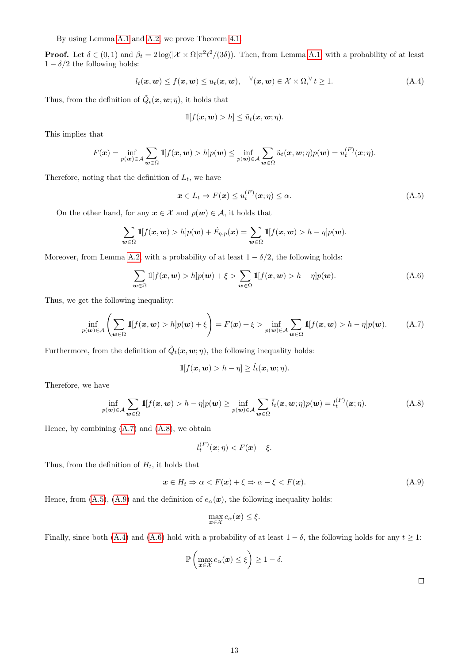By using Lemma [A.1](#page-11-0) and [A.2,](#page-11-4) we prove Theorem [4.1.](#page-4-4)

**Proof.** Let  $\delta \in (0,1)$  and  $\beta_t = 2\log(|\mathcal{X} \times \Omega|\pi^2 t^2/(3\delta))$ . Then, from Lemma [A.1,](#page-11-0) with a probability of at least  $1 - \delta/2$  the following holds:

$$
l_t(\boldsymbol{x},\boldsymbol{w}) \le f(\boldsymbol{x},\boldsymbol{w}) \le u_t(\boldsymbol{x},\boldsymbol{w}), \quad \forall (\boldsymbol{x},\boldsymbol{w}) \in \mathcal{X} \times \Omega, \forall t \ge 1.
$$
 (A.4)

Thus, from the definition of  $\tilde{Q}_t(\mathbf{x}, \mathbf{w}; \eta)$ , it holds that

<span id="page-12-4"></span>
$$
\mathbb{1}[f(\boldsymbol{x},\boldsymbol{w}) > h] \leq \tilde{u}_t(\boldsymbol{x},\boldsymbol{w};\eta).
$$

This implies that

$$
F(\boldsymbol{x}) = \inf_{p(\boldsymbol{w}) \in \mathcal{A}} \sum_{\boldsymbol{w} \in \Omega} \mathbb{1}[f(\boldsymbol{x}, \boldsymbol{w}) > h] p(\boldsymbol{w}) \le \inf_{p(\boldsymbol{w}) \in \mathcal{A}} \sum_{\boldsymbol{w} \in \Omega} \tilde{u}_t(\boldsymbol{x}, \boldsymbol{w}; \eta) p(\boldsymbol{w}) = u_t^{(F)}(\boldsymbol{x}; \eta).
$$

Therefore, noting that the definition of  $L_t$ , we have

<span id="page-12-5"></span><span id="page-12-2"></span>
$$
\boldsymbol{x} \in L_t \Rightarrow F(\boldsymbol{x}) \le u_t^{(F)}(\boldsymbol{x}; \eta) \le \alpha. \tag{A.5}
$$

On the other hand, for any  $x \in \mathcal{X}$  and  $p(w) \in \mathcal{A}$ , it holds that

$$
\sum_{\mathbf{w}\in\Omega} \mathbb{1}[f(\mathbf{x},\mathbf{w}) > h]p(\mathbf{w}) + \tilde{F}_{\eta,p}(\mathbf{x}) = \sum_{\mathbf{w}\in\Omega} \mathbb{1}[f(\mathbf{x},\mathbf{w}) > h - \eta]p(\mathbf{w}).
$$

Moreover, from Lemma [A.2,](#page-11-4) with a probability of at least  $1 - \delta/2$ , the following holds:

$$
\sum_{\mathbf{w}\in\Omega} \mathbb{1}[f(\mathbf{x},\mathbf{w}) > h]p(\mathbf{w}) + \xi > \sum_{\mathbf{w}\in\Omega} \mathbb{1}[f(\mathbf{x},\mathbf{w}) > h - \eta]p(\mathbf{w}).\tag{A.6}
$$

Thus, we get the following inequality:

$$
\inf_{p(\mathbf{w}) \in \mathcal{A}} \left( \sum_{\mathbf{w} \in \Omega} \mathbb{1}[f(\mathbf{x}, \mathbf{w}) > h] p(\mathbf{w}) + \xi \right) = F(\mathbf{x}) + \xi > \inf_{p(\mathbf{w}) \in \mathcal{A}} \sum_{\mathbf{w} \in \Omega} \mathbb{1}[f(\mathbf{x}, \mathbf{w}) > h - \eta] p(\mathbf{w}). \tag{A.7}
$$

Furthermore, from the definition of  $\tilde{Q}_t(\mathbf{x}, \mathbf{w}; \eta)$ , the following inequality holds:

<span id="page-12-0"></span>
$$
\mathbb{1}[f(\boldsymbol{x},\boldsymbol{w}) > h-\eta] \geq \tilde{l}_t(\boldsymbol{x},\boldsymbol{w};\eta).
$$

Therefore, we have

$$
\inf_{p(\mathbf{w}) \in \mathcal{A}} \sum_{\mathbf{w} \in \Omega} \mathbb{1}[f(\mathbf{x}, \mathbf{w}) > h - \eta] p(\mathbf{w}) \ge \inf_{p(\mathbf{w}) \in \mathcal{A}} \sum_{\mathbf{w} \in \Omega} \tilde{l}_t(\mathbf{x}, \mathbf{w}; \eta) p(\mathbf{w}) = l_t^{(F)}(\mathbf{x}; \eta). \tag{A.8}
$$

Hence, by combining [\(A.7\)](#page-12-0) and [\(A.8\)](#page-12-1), we obtain

$$
l_t^{(F)}(\boldsymbol{x};\eta) < F(\boldsymbol{x}) + \xi.
$$

Thus, from the definition of  $H_t$ , it holds that

$$
\boldsymbol{x} \in H_t \Rightarrow \alpha < F(\boldsymbol{x}) + \xi \Rightarrow \alpha - \xi < F(\boldsymbol{x}).\tag{A.9}
$$

Hence, from [\(A.5\)](#page-12-2), [\(A.9\)](#page-12-3) and the definition of  $e_{\alpha}(x)$ , the following inequality holds:

$$
\max_{\bm{x}\in\mathcal{X}}e_{\alpha}(\bm{x})\leq\xi.
$$

Finally, since both [\(A.4\)](#page-12-4) and [\(A.6\)](#page-12-5) hold with a probability of at least  $1 - \delta$ , the following holds for any  $t \ge 1$ :

$$
\mathbb{P}\left(\max_{\bm{x}\in\mathcal{X}}e_{\alpha}(\bm{x})\leq\xi\right)\geq1-\delta.
$$

<span id="page-12-3"></span><span id="page-12-1"></span> $\Box$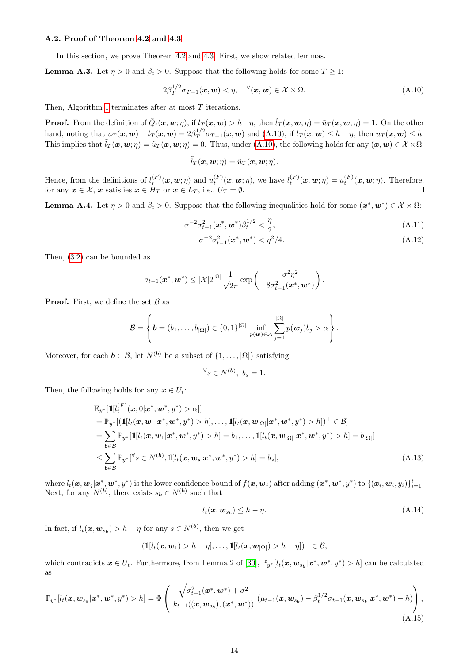# A.2. Proof of Theorem [4.2](#page-5-1) and [4.3](#page-5-2)

In this section, we prove Theorem [4.2](#page-5-1) and [4.3.](#page-5-2) First, we show related lemmas.

<span id="page-13-7"></span>**Lemma A.3.** Let  $\eta > 0$  and  $\beta_t > 0$ . Suppose that the following holds for some  $T \geq 1$ :

$$
2\beta_T^{1/2}\sigma_{T-1}(\boldsymbol{x},\boldsymbol{w}) < \eta, \quad \forall (\boldsymbol{x},\boldsymbol{w}) \in \mathcal{X} \times \Omega. \tag{A.10}
$$

Then, Algorithm [1](#page-3-0) terminates after at most T iterations.

**Proof.** From the definition of  $\tilde{Q}_t(\boldsymbol{x}, \boldsymbol{w}; \eta)$ , if  $l_T(\boldsymbol{x}, \boldsymbol{w}) > h - \eta$ , then  $\tilde{l}_T(\boldsymbol{x}, \boldsymbol{w}; \eta) = \tilde{u}_T(\boldsymbol{x}, \boldsymbol{w}; \eta) = 1$ . On the other hand, noting that  $u_T(\boldsymbol{x}, \boldsymbol{w}) - l_T(\boldsymbol{x}, \boldsymbol{w}) = 2\beta_T^{1/2}$  $T_T^{1/2} \sigma_{T-1}(x, w)$  and [\(A.10\)](#page-13-0), if  $l_T(x, w) \leq h - \eta$ , then  $u_T(x, w) \leq h$ . This implies that  $\tilde{l}_T(\mathbf{x}, \mathbf{w}; \eta) = \tilde{u}_T(\mathbf{x}, \mathbf{w}; \eta) = 0$ . Thus, under [\(A.10\)](#page-13-0), the following holds for any  $(\mathbf{x}, \mathbf{w}) \in \mathcal{X} \times \Omega$ :

<span id="page-13-0"></span>
$$
\tilde{l}_T(\boldsymbol{x},\boldsymbol{w};\eta)=\tilde{u}_T(\boldsymbol{x},\boldsymbol{w};\eta).
$$

Hence, from the definitions of  $l_t^{(F)}(\mathbf{x}, \mathbf{w}; \eta)$  and  $u_t^{(F)}(\mathbf{x}, \mathbf{w}; \eta)$ , we have  $l_t^{(F)}(\mathbf{x}, \mathbf{w}; \eta) = u_t^{(F)}(\mathbf{x}, \mathbf{w}; \eta)$ . Therefore, for any  $x \in \mathcal{X}$ , x satisfies  $x \in H_T$  or  $x \in L_T$ , i.e.,  $U_T = \emptyset$ .

<span id="page-13-6"></span>**Lemma A.4.** Let  $\eta > 0$  and  $\beta_t > 0$ . Suppose that the following inequalities hold for some  $(x^*, w^*) \in \mathcal{X} \times \Omega$ :

$$
\sigma^{-2}\sigma_{t-1}^2(\mathbf{x}^*, \mathbf{w}^*)\beta_t^{1/2} < \frac{\eta}{2},\tag{A.11}
$$

<span id="page-13-4"></span><span id="page-13-2"></span>
$$
\sigma^{-2}\sigma_{t-1}^2(\mathbf{x}^*, \mathbf{w}^*) < \eta^2/4. \tag{A.12}
$$

Then, [\(3.2\)](#page-2-2) can be bounded as

$$
a_{t-1}(\boldsymbol{x}^*, \boldsymbol{w}^*) \leq |\mathcal{X}| 2^{|\Omega|} \frac{1}{\sqrt{2\pi}} \exp \left(-\frac{\sigma^2 \eta^2}{8\sigma_{t-1}^2(\boldsymbol{x}^*, \boldsymbol{w}^*)}\right).
$$

**Proof.** First, we define the set  $\beta$  as

$$
\mathcal{B} = \left\{ \boldsymbol{b} = (b_1, \ldots, b_{|\Omega|}) \in \{0,1\}^{|\Omega|} \middle| \inf_{p(\boldsymbol{w}) \in \mathcal{A}} \sum_{j=1}^{|\Omega|} p(\boldsymbol{w}_j) b_j > \alpha \right\}.
$$

Moreover, for each  $\mathbf{b} \in \mathcal{B}$ , let  $N^{(\mathbf{b})}$  be a subset of  $\{1, \ldots, |\Omega|\}$  satisfying

$$
\forall s \in N^{(b)}, \ b_s = 1.
$$

Then, the following holds for any  $x \in U_t$ :

$$
\mathbb{E}_{y^{*}}[\mathbb{1}[l_{t}^{(F)}(\boldsymbol{x};0|\boldsymbol{x}^{*},\boldsymbol{w}^{*},y^{*}) > \alpha]]
$$
\n
$$
= \mathbb{P}_{y^{*}}[(\mathbb{1}[l_{t}(\boldsymbol{x},\boldsymbol{w}_{1}|\boldsymbol{x}^{*},\boldsymbol{w}^{*},y^{*}) > h], \ldots, \mathbb{1}[l_{t}(\boldsymbol{x},\boldsymbol{w}_{|\Omega|}|\boldsymbol{x}^{*},\boldsymbol{w}^{*},y^{*}) > h])^{\top} \in \mathcal{B}]
$$
\n
$$
= \sum_{\boldsymbol{b}\in\mathcal{B}} \mathbb{P}_{y^{*}}[\mathbb{1}[l_{t}(\boldsymbol{x},\boldsymbol{w}_{1}|\boldsymbol{x}^{*},\boldsymbol{w}^{*},y^{*}) > h] = b_{1}, \ldots, \mathbb{1}[l_{t}(\boldsymbol{x},\boldsymbol{w}_{|\Omega|}|\boldsymbol{x}^{*},\boldsymbol{w}^{*},y^{*}) > h] = b_{|\Omega|}]
$$
\n
$$
\leq \sum_{\boldsymbol{b}\in\mathcal{B}} \mathbb{P}_{y^{*}}[^{\forall s \in N^{(b)}, \mathbb{1}[l_{t}(\boldsymbol{x},\boldsymbol{w}_{s}|\boldsymbol{x}^{*},\boldsymbol{w}^{*},y^{*}) > h] = b_{s}], \qquad (A.13)
$$

where  $l_t(\boldsymbol{x}, \boldsymbol{w}_j | \boldsymbol{x}^*, \boldsymbol{w}^*, y^*)$  is the lower confidence bound of  $f(\boldsymbol{x}, \boldsymbol{w}_j)$  after adding  $(\boldsymbol{x}^*, \boldsymbol{w}^*, y^*)$  to  $\{(\boldsymbol{x}_i, \boldsymbol{w}_i, y_i)\}_{i=1}^t$ . Next, for any  $N^{(b)}$ , there exists  $s_b \in N^{(b)}$  such that

<span id="page-13-5"></span><span id="page-13-3"></span><span id="page-13-1"></span>
$$
l_t(\mathbf{x}, \mathbf{w}_{s_b}) \le h - \eta. \tag{A.14}
$$

In fact, if  $l_t(\boldsymbol{x}, \boldsymbol{w}_{s_b}) > h - \eta$  for any  $s \in N^{(b)}$ , then we get

$$
(\mathbb{1}[l_t(\boldsymbol{x},\boldsymbol{w}_1) > h - \eta], \ldots, \mathbb{1}[l_t(\boldsymbol{x},\boldsymbol{w}_{|\Omega|}) > h - \eta])^{\top} \in \mathcal{B},
$$

which contradicts  $x \in U_t$ . Furthermore, from Lemma 2 of [\[30\]](#page-10-3),  $\mathbb{P}_{y^*}[l_t(x, w_{s_b}|x^*, w^*, y^*) > h]$  can be calculated as

$$
\mathbb{P}_{y^*}[l_t(\mathbf{x}, \mathbf{w}_{s_b}|\mathbf{x}^*, \mathbf{w}^*, y^*) > h] = \Phi\left(\frac{\sqrt{\sigma_{t-1}^2(\mathbf{x}^*, \mathbf{w}^*) + \sigma^2}}{|k_{t-1}((\mathbf{x}, \mathbf{w}_{s_b}), (\mathbf{x}^*, \mathbf{w}^*))|} (\mu_{t-1}(\mathbf{x}, \mathbf{w}_{s_b}) - \beta_t^{1/2} \sigma_{t-1}(\mathbf{x}, \mathbf{w}_{s_b}|\mathbf{x}^*, \mathbf{w}^*) - h)\right),
$$
\n(A.15)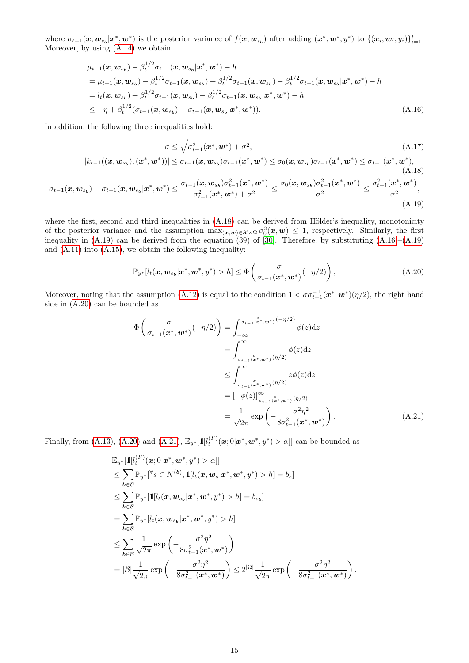where  $\sigma_{t-1}(\mathbf{x}, \mathbf{w}_{s_b} | \mathbf{x}^*, \mathbf{w}^*)$  is the posterior variance of  $f(\mathbf{x}, \mathbf{w}_{s_b})$  after adding  $(\mathbf{x}^*, \mathbf{w}^*, y^*)$  to  $\{(\mathbf{x}_i, \mathbf{w}_i, y_i)\}_{i=1}^t$ . Moreover, by using [\(A.14\)](#page-13-1) we obtain

$$
\mu_{t-1}(\mathbf{x}, \mathbf{w}_{s_{b}}) - \beta_{t}^{1/2} \sigma_{t-1}(\mathbf{x}, \mathbf{w}_{s_{b}} | \mathbf{x}^{*}, \mathbf{w}^{*}) - h \n= \mu_{t-1}(\mathbf{x}, \mathbf{w}_{s_{b}}) - \beta_{t}^{1/2} \sigma_{t-1}(\mathbf{x}, \mathbf{w}_{s_{b}}) + \beta_{t}^{1/2} \sigma_{t-1}(\mathbf{x}, \mathbf{w}_{s_{b}}) - \beta_{t}^{1/2} \sigma_{t-1}(\mathbf{x}, \mathbf{w}_{s_{b}} | \mathbf{x}^{*}, \mathbf{w}^{*}) - h \n= l_{t}(\mathbf{x}, \mathbf{w}_{s_{b}}) + \beta_{t}^{1/2} \sigma_{t-1}(\mathbf{x}, \mathbf{w}_{s_{b}}) - \beta_{t}^{1/2} \sigma_{t-1}(\mathbf{x}, \mathbf{w}_{s_{b}} | \mathbf{x}^{*}, \mathbf{w}^{*}) - h \n\leq -\eta + \beta_{t}^{1/2} (\sigma_{t-1}(\mathbf{x}, \mathbf{w}_{s_{b}}) - \sigma_{t-1}(\mathbf{x}, \mathbf{w}_{s_{b}} | \mathbf{x}^{*}, \mathbf{w}^{*})).
$$
\n(A.16)

In addition, the following three inequalities hold:

$$
\sigma \leq \sqrt{\sigma_{t-1}^2(\mathbf{x}^*, \mathbf{w}^*) + \sigma^2},
$$
\n
$$
|k_{t-1}((\mathbf{x}, \mathbf{w}_{s_b}), (\mathbf{x}^*, \mathbf{w}^*))| \leq \sigma_{t-1}(\mathbf{x}, \mathbf{w}_{s_b})\sigma_{t-1}(\mathbf{x}^*, \mathbf{w}^*) \leq \sigma_0(\mathbf{x}, \mathbf{w}_{s_b})\sigma_{t-1}(\mathbf{x}^*, \mathbf{w}^*) \leq \sigma_{t-1}(\mathbf{x}^*, \mathbf{w}^*),
$$
\n(A.17)

<span id="page-14-4"></span><span id="page-14-3"></span><span id="page-14-2"></span><span id="page-14-1"></span><span id="page-14-0"></span>(A.18)

$$
\sigma_{t-1}(\boldsymbol{x},\boldsymbol{w}_{s_{b}})-\sigma_{t-1}(\boldsymbol{x},\boldsymbol{w}_{s_{b}}|\boldsymbol{x}^{*},\boldsymbol{w}^{*})\leq\frac{\sigma_{t-1}(\boldsymbol{x},\boldsymbol{w}_{s_{b}})\sigma_{t-1}^{2}(\boldsymbol{x}^{*},\boldsymbol{w}^{*})}{\sigma_{t-1}^{2}(\boldsymbol{x}^{*},\boldsymbol{w}^{*})+\sigma^{2}}\leq\frac{\sigma_{0}(\boldsymbol{x},\boldsymbol{w}_{s_{b}})\sigma_{t-1}^{2}(\boldsymbol{x}^{*},\boldsymbol{w}^{*})}{\sigma^{2}}\leq\frac{\sigma_{t-1}^{2}(\boldsymbol{x}^{*},\boldsymbol{w}^{*})}{\sigma^{2}},\tag{A.19}
$$

where the first, second and third inequalities in  $(A.18)$  can be derived from Hölder's inequality, monotonicity of the posterior variance and the assumption  $\max_{(\bm{x},\bm{w})\in\mathcal{X}\times\Omega}\sigma_0^2(\bm{x},\bm{w})\leq 1$ , respectively. Similarly, the first inequality in  $(A.19)$  can be derived from the equation (39) of [\[30\]](#page-10-3). Therefore, by substituting  $(A.16)$ – $(A.19)$ and [\(A.11\)](#page-13-2) into [\(A.15\)](#page-13-3), we obtain the following inequality:

$$
\mathbb{P}_{y^*}[l_t(\boldsymbol{x}, \boldsymbol{w}_{s_b}|\boldsymbol{x}^*, \boldsymbol{w}^*, y^*) > h] \le \Phi\left(\frac{\sigma}{\sigma_{t-1}(\boldsymbol{x}^*, \boldsymbol{w}^*)}(-\eta/2)\right),\tag{A.20}
$$

Moreover, noting that the assumption [\(A.12\)](#page-13-4) is equal to the condition  $1 < \sigma \sigma_{t-1}^{-1}(\bm{x}^*, \bm{w}^*)(\eta/2)$ , the right hand side in [\(A.20\)](#page-14-3) can be bounded as

$$
\Phi\left(\frac{\sigma}{\sigma_{t-1}(x^*, w^*)}(-\eta/2)\right) = \int_{-\infty}^{\frac{\sigma}{\sigma_{t-1}(x^*, w^*)}} (-\eta/2) \phi(z) dz
$$
\n
$$
= \int_{-\infty}^{\infty} \phi(z) dz
$$
\n
$$
\leq \int_{\frac{\sigma}{\sigma_{t-1}(x^*, w^*)}}^{\infty} (\eta/2) \phi(z) dz
$$
\n
$$
= [-\phi(z)]_{\frac{\sigma}{\sigma_{t-1}(x^*, w^*)}}^{\infty} (\eta/2)
$$
\n
$$
= \frac{1}{\sqrt{2\pi}} \exp\left(-\frac{\sigma^2 \eta^2}{8\sigma_{t-1}^2(x^*, w^*)}\right).
$$
\n(A.21)

Finally, from [\(A.13\)](#page-13-5), [\(A.20\)](#page-14-3) and [\(A.21\)](#page-14-4),  $\mathbb{E}_{y^*}[1 \mathbb{I}[t_t^{(F)}(\bm{x}; 0 | \bm{x}^*, \bm{w}^*, y^*) > \alpha]]$  can be bounded as

$$
\mathbb{E}_{y^{*}}[\mathbb{1}[l_{t}^{(F)}(\boldsymbol{x};0|\boldsymbol{x}^{*},\boldsymbol{w}^{*},y^{*})>\alpha]]
$$
\n
$$
\leq \sum_{\boldsymbol{b}\in\mathcal{B}}\mathbb{P}_{y^{*}}[^{\forall_{\mathcal{S}}}\in N^{(\boldsymbol{b})},\mathbb{1}[l_{t}(\boldsymbol{x},\boldsymbol{w}_{s}|\boldsymbol{x}^{*},\boldsymbol{w}^{*},y^{*})>h]=b_{s}]
$$
\n
$$
\leq \sum_{\boldsymbol{b}\in\mathcal{B}}\mathbb{P}_{y^{*}}[\mathbb{1}[l_{t}(\boldsymbol{x},\boldsymbol{w}_{s_{\boldsymbol{b}}}|\boldsymbol{x}^{*},\boldsymbol{w}^{*},y^{*})>h]=b_{s_{\boldsymbol{b}}}]
$$
\n
$$
=\sum_{\boldsymbol{b}\in\mathcal{B}}\mathbb{P}_{y^{*}}[l_{t}(\boldsymbol{x},\boldsymbol{w}_{s_{\boldsymbol{b}}}|\boldsymbol{x}^{*},\boldsymbol{w}^{*},y^{*})>h]
$$
\n
$$
\leq \sum_{\boldsymbol{b}\in\mathcal{B}}\frac{1}{\sqrt{2\pi}}\exp\left(-\frac{\sigma^{2}\eta^{2}}{8\sigma_{t-1}^{2}(\boldsymbol{x}^{*},\boldsymbol{w}^{*})}\right)
$$
\n
$$
=|\mathcal{B}|\frac{1}{\sqrt{2\pi}}\exp\left(-\frac{\sigma^{2}\eta^{2}}{8\sigma_{t-1}^{2}(\boldsymbol{x}^{*},\boldsymbol{w}^{*})}\right)\leq 2^{|\Omega|}\frac{1}{\sqrt{2\pi}}\exp\left(-\frac{\sigma^{2}\eta^{2}}{8\sigma_{t-1}^{2}(\boldsymbol{x}^{*},\boldsymbol{w}^{*})}\right).
$$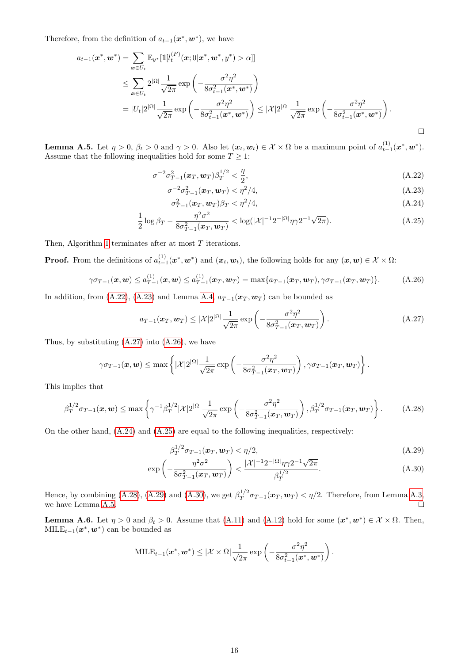Therefore, from the definition of  $a_{t-1}(\boldsymbol{x}^*, \boldsymbol{w}^*)$ , we have

$$
a_{t-1}(\boldsymbol{x}^*, \boldsymbol{w}^*) = \sum_{\boldsymbol{x} \in U_t} \mathbb{E}_{y^*} [\mathbb{1}[l_t^{(F)}(\boldsymbol{x}; 0 | \boldsymbol{x}^*, \boldsymbol{w}^*, y^*) > \alpha]]
$$
  
\n
$$
\leq \sum_{\boldsymbol{x} \in U_t} 2^{|\Omega|} \frac{1}{\sqrt{2\pi}} \exp\left(-\frac{\sigma^2 \eta^2}{8\sigma_{t-1}^2(\boldsymbol{x}^*, \boldsymbol{w}^*)}\right)
$$
  
\n
$$
= |U_t| 2^{|\Omega|} \frac{1}{\sqrt{2\pi}} \exp\left(-\frac{\sigma^2 \eta^2}{8\sigma_{t-1}^2(\boldsymbol{x}^*, \boldsymbol{w}^*)}\right) \leq |\mathcal{X}| 2^{|\Omega|} \frac{1}{\sqrt{2\pi}} \exp\left(-\frac{\sigma^2 \eta^2}{8\sigma_{t-1}^2(\boldsymbol{x}^*, \boldsymbol{w}^*)}\right).
$$

<span id="page-15-9"></span>**Lemma A.5.** Let  $\eta > 0$ ,  $\beta_t > 0$  and  $\gamma > 0$ . Also let  $(\boldsymbol{x}_t, \boldsymbol{w}_t) \in \mathcal{X} \times \Omega$  be a maximum point of  $a_{t-1}^{(1)}(\boldsymbol{x}^*, \boldsymbol{w}^*)$ . Assume that the following inequalities hold for some  $T \geq 1$ :

$$
\sigma^{-2}\sigma_{T-1}^2(x_T, w_T)\beta_T^{1/2} < \frac{\eta}{2},\tag{A.22}
$$

$$
\sigma^{-2} \sigma_{T-1}^2(\pmb{x}_T, \pmb{w}_T) < \eta^2/4,\tag{A.23}
$$

<span id="page-15-5"></span><span id="page-15-4"></span><span id="page-15-3"></span><span id="page-15-2"></span><span id="page-15-1"></span><span id="page-15-0"></span>
$$
\sigma_{T-1}^2(\boldsymbol{x}_T,\boldsymbol{w}_T)\beta_T < \eta^2/4,\tag{A.24}
$$

$$
\frac{1}{2}\log\beta_T - \frac{\eta^2\sigma^2}{8\sigma_{T-1}^2(\bm{x}_T,\bm{w}_T)} < \log(|\mathcal{X}|^{-1}2^{-|\Omega|}\eta\gamma 2^{-1}\sqrt{2\pi}).\tag{A.25}
$$

Then, Algorithm [1](#page-3-0) terminates after at most T iterations.

**Proof.** From the definitions of  $a_{t-1}^{(1)}(x^*, w^*)$  and  $(x_t, w_t)$ , the following holds for any  $(x, w) \in \mathcal{X} \times \Omega$ :

$$
\gamma \sigma_{T-1}(\boldsymbol{x}, \boldsymbol{w}) \le a_{T-1}^{(1)}(\boldsymbol{x}, \boldsymbol{w}) \le a_{T-1}^{(1)}(\boldsymbol{x}_T, \boldsymbol{w}_T) = \max\{a_{T-1}(\boldsymbol{x}_T, \boldsymbol{w}_T), \gamma \sigma_{T-1}(\boldsymbol{x}_T, \boldsymbol{w}_T)\}.
$$
 (A.26)

In addition, from [\(A.22\)](#page-15-0), [\(A.23\)](#page-15-1) and Lemma [A.4,](#page-13-6)  $a_{T-1}(x_T, w_T)$  can be bounded as

$$
a_{T-1}(\boldsymbol{x}_T, \boldsymbol{w}_T) \leq |\mathcal{X}| 2^{|\Omega|} \frac{1}{\sqrt{2\pi}} \exp\left(-\frac{\sigma^2 \eta^2}{8\sigma_{T-1}^2(\boldsymbol{x}_T, \boldsymbol{w}_T)}\right).
$$
(A.27)

Thus, by substituting  $(A.27)$  into  $(A.26)$ , we have

$$
\gamma \sigma_{T-1}(\boldsymbol{x}, \boldsymbol{w}) \leq \max \left\{ |\mathcal{X}| 2^{|\Omega|} \frac{1}{\sqrt{2\pi}} \exp \left( -\frac{\sigma^2 \eta^2}{8\sigma_{T-1}^2(\boldsymbol{x}_T, \boldsymbol{w}_T)} \right), \gamma \sigma_{T-1}(\boldsymbol{x}_T, \boldsymbol{w}_T) \right\}.
$$

This implies that

$$
\beta_T^{1/2} \sigma_{T-1}(x, \mathbf{w}) \le \max \left\{ \gamma^{-1} \beta_T^{1/2} |\mathcal{X}| 2^{|\Omega|} \frac{1}{\sqrt{2\pi}} \exp \left( -\frac{\sigma^2 \eta^2}{8 \sigma_{T-1}^2(x_T, \mathbf{w}_T)} \right), \beta_T^{1/2} \sigma_{T-1}(x_T, \mathbf{w}_T) \right\}.
$$
 (A.28)

On the other hand, [\(A.24\)](#page-15-4) and [\(A.25\)](#page-15-5) are equal to the following inequalities, respectively:

<span id="page-15-8"></span><span id="page-15-7"></span><span id="page-15-6"></span>
$$
\beta_T^{1/2} \sigma_{T-1}(\pmb{x}_T, \pmb{w}_T) < \eta/2,\tag{A.29}
$$

$$
\exp\left(-\frac{\eta^2 \sigma^2}{8\sigma_{T-1}^2(\boldsymbol{x}_T, \boldsymbol{w}_T)}\right) < \frac{|\mathcal{X}|^{-1} 2^{-|\Omega|} \eta \gamma 2^{-1} \sqrt{2\pi}}{\beta_T^{1/2}}.\tag{A.30}
$$

Hence, by combining [\(A.28\)](#page-15-6), [\(A.29\)](#page-15-7) and [\(A.30\)](#page-15-8), we get  $\beta_T^{1/2}$  $T_T^{1/2} \sigma_{T-1}(\boldsymbol{x}_T, \boldsymbol{w}_T) < \eta/2$ . Therefore, from Lemma [A.3,](#page-13-7) we have Lemma [A.5.](#page-15-9)  $\Box$ 

<span id="page-15-10"></span>**Lemma A.6.** Let  $\eta > 0$  and  $\beta_t > 0$ . Assume that [\(A.11\)](#page-13-2) and [\(A.12\)](#page-13-4) hold for some  $(x^*, w^*) \in \mathcal{X} \times \Omega$ . Then,  $\text{MILE}_{t-1}(\boldsymbol{x}^*, \boldsymbol{w}^*)$  can be bounded as

$$
\text{MILE}_{t-1}(\boldsymbol{x}^*, \boldsymbol{w}^*) \leq |\mathcal{X} \times \Omega| \frac{1}{\sqrt{2\pi}} \exp \left(-\frac{\sigma^2 \eta^2}{8\sigma_{t-1}^2(\boldsymbol{x}^*, \boldsymbol{w}^*)}\right).
$$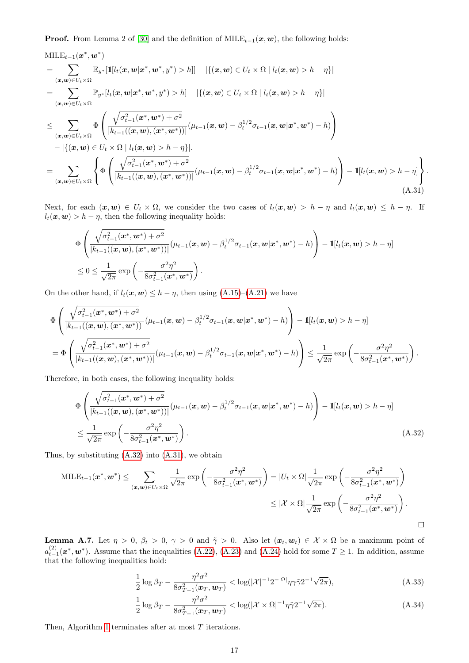**Proof.** From Lemma 2 of [\[30\]](#page-10-3) and the definition of  $MILE_{t-1}(x, w)$ , the following holds:

$$
\begin{split}\n\text{MILE}_{t-1}(\boldsymbol{x}^*, \boldsymbol{w}^*) \\
&= \sum_{(\boldsymbol{x}, \boldsymbol{w}) \in U_t \times \Omega} \mathbb{E}_{\boldsymbol{y}^*}[\mathbb{1}[l_t(\boldsymbol{x}, \boldsymbol{w} | \boldsymbol{x}^*, \boldsymbol{w}^*, \boldsymbol{y}^*) > h]] - |\{(\boldsymbol{x}, \boldsymbol{w}) \in U_t \times \Omega \mid l_t(\boldsymbol{x}, \boldsymbol{w}) > h - \eta\}| \\
&= \sum_{(\boldsymbol{x}, \boldsymbol{w}) \in U_t \times \Omega} \mathbb{P}_{\boldsymbol{y}^*}[l_t(\boldsymbol{x}, \boldsymbol{w} | \boldsymbol{x}^*, \boldsymbol{w}^*, \boldsymbol{y}^*) > h] - |\{(\boldsymbol{x}, \boldsymbol{w}) \in U_t \times \Omega \mid l_t(\boldsymbol{x}, \boldsymbol{w}) > h - \eta\}|\n\end{split}
$$
\n
$$
\leq \sum_{(\boldsymbol{x}, \boldsymbol{w}) \in U_t \times \Omega} \Phi\left(\frac{\sqrt{\sigma_{t-1}^2(\boldsymbol{x}^*, \boldsymbol{w}^*) + \sigma^2}}{|k_{t-1}((\boldsymbol{x}, \boldsymbol{w}), (\boldsymbol{x}^*, \boldsymbol{w}^*))|} (\mu_{t-1}(\boldsymbol{x}, \boldsymbol{w}) - \beta_t^{1/2} \sigma_{t-1}(\boldsymbol{x}, \boldsymbol{w} | \boldsymbol{x}^*, \boldsymbol{w}^*) - h)\right) \\
- |\{(\boldsymbol{x}, \boldsymbol{w}) \in U_t \times \Omega \mid l_t(\boldsymbol{x}, \boldsymbol{w}) > h - \eta\}|\n\end{split}
$$
\n
$$
= \sum_{(\boldsymbol{x}, \boldsymbol{w}) \in U_t \times \Omega} \left\{\Phi\left(\frac{\sqrt{\sigma_{t-1}^2(\boldsymbol{x}^*, \boldsymbol{w}^*) + \sigma^2}}{|k_{t-1}((\boldsymbol{x}, \boldsymbol{w}), (\boldsymbol{x}^*, \boldsymbol{w}^*))|} (\mu_{t-1}(\boldsymbol{x}, \boldsymbol{w}) - \beta_t^{1/2} \sigma_{t-1}(\boldsymbol{x}, \boldsymbol{w} | \boldsymbol{x}^*, \boldsymbol{w}^*) - h)\right) - \mathbb{I}[l_t(\boldsymbol{x}, \boldsymbol{w}) > h - \eta]\right\}.
$$
\n(A.31)

Next, for each  $(x, w) \in U_t \times \Omega$ , we consider the two cases of  $l_t(x, w) > h - \eta$  and  $l_t(x, w) \leq h - \eta$ . If  $l_t(\boldsymbol{x}, \boldsymbol{w}) > h - \eta$ , then the following inequality holds:

<span id="page-16-1"></span>
$$
\Phi\left(\frac{\sqrt{\sigma_{t-1}^2(\bm{x}^*,\bm{w}^*)+\sigma^2}}{|k_{t-1}((\bm{x},\bm{w}),(\bm{x}^*,\bm{w}^*))|}(\mu_{t-1}(\bm{x},\bm{w})-\beta_t^{1/2}\sigma_{t-1}(\bm{x},\bm{w}|\bm{x}^*,\bm{w}^*)-h)\right)-\mathbb{1}[l_t(\bm{x},\bm{w})>h-\eta]
$$
  

$$
\leq 0 \leq \frac{1}{\sqrt{2\pi}}\exp\left(-\frac{\sigma^2\eta^2}{8\sigma_{t-1}^2(\bm{x}^*,\bm{w}^*)}\right).
$$

On the other hand, if  $l_t(\mathbf{x}, \mathbf{w}) \leq h - \eta$ , then using  $(A.15)-(A.21)$  $(A.15)-(A.21)$  $(A.15)-(A.21)$  we have

$$
\Phi\left(\frac{\sqrt{\sigma_{t-1}^2(\mathbf{x}^*, \mathbf{w}^*)+\sigma^2}}{|k_{t-1}((\mathbf{x}, \mathbf{w}), (\mathbf{x}^*, \mathbf{w}^*))|}(\mu_{t-1}(\mathbf{x}, \mathbf{w}) - \beta_t^{1/2}\sigma_{t-1}(\mathbf{x}, \mathbf{w}|\mathbf{x}^*, \mathbf{w}^*) - h)\right) - \mathbb{1}[l_t(\mathbf{x}, \mathbf{w}) > h - \eta]
$$
\n
$$
= \Phi\left(\frac{\sqrt{\sigma_{t-1}^2(\mathbf{x}^*, \mathbf{w}^*)+\sigma^2}}{|k_{t-1}((\mathbf{x}, \mathbf{w}), (\mathbf{x}^*, \mathbf{w}^*))|}(\mu_{t-1}(\mathbf{x}, \mathbf{w}) - \beta_t^{1/2}\sigma_{t-1}(\mathbf{x}, \mathbf{w}|\mathbf{x}^*, \mathbf{w}^*) - h)\right) \leq \frac{1}{\sqrt{2\pi}} \exp\left(-\frac{\sigma^2\eta^2}{8\sigma_{t-1}^2(\mathbf{x}^*, \mathbf{w}^*)}\right).
$$

Therefore, in both cases, the following inequality holds:

$$
\Phi\left(\frac{\sqrt{\sigma_{t-1}^2(\bm{x}^*,\bm{w}^*)+\sigma^2}}{|k_{t-1}((\bm{x},\bm{w}),(\bm{x}^*,\bm{w}^*))|}(\mu_{t-1}(\bm{x},\bm{w})-\beta_t^{1/2}\sigma_{t-1}(\bm{x},\bm{w}|\bm{x}^*,\bm{w}^*)-h)\right)-\mathbb{1}[l_t(\bm{x},\bm{w})>h-\eta]
$$
\n
$$
\leq \frac{1}{\sqrt{2\pi}}\exp\left(-\frac{\sigma^2\eta^2}{8\sigma_{t-1}^2(\bm{x}^*,\bm{w}^*)}\right). \tag{A.32}
$$

Thus, by substituting [\(A.32\)](#page-16-0) into [\(A.31\)](#page-16-1), we obtain

$$
\text{MILE}_{t-1}(\boldsymbol{x}^*, \boldsymbol{w}^*) \leq \sum_{(\boldsymbol{x}, \boldsymbol{w}) \in U_t \times \Omega} \frac{1}{\sqrt{2\pi}} \exp\left(-\frac{\sigma^2 \eta^2}{8\sigma_{t-1}^2(\boldsymbol{x}^*, \boldsymbol{w}^*)}\right) = |U_t \times \Omega| \frac{1}{\sqrt{2\pi}} \exp\left(-\frac{\sigma^2 \eta^2}{8\sigma_{t-1}^2(\boldsymbol{x}^*, \boldsymbol{w}^*)}\right)
$$

$$
\leq |\mathcal{X} \times \Omega| \frac{1}{\sqrt{2\pi}} \exp\left(-\frac{\sigma^2 \eta^2}{8\sigma_{t-1}^2(\boldsymbol{x}^*, \boldsymbol{w}^*)}\right).
$$

<span id="page-16-4"></span>**Lemma A.7.** Let  $\eta > 0$ ,  $\beta_t > 0$ ,  $\gamma > 0$  and  $\tilde{\gamma} > 0$ . Also let  $(\boldsymbol{x}_t, \boldsymbol{w}_t) \in \mathcal{X} \times \Omega$  be a maximum point of  $a_{t-1}^{(2)}(\mathbf{x}^*,\mathbf{w}^*)$ . Assume that the inequalities [\(A.22\)](#page-15-0), [\(A.23\)](#page-15-1) and [\(A.24\)](#page-15-4) hold for some  $T \ge 1$ . In addition, assume that the following inequalities hold:

<span id="page-16-0"></span>
$$
\frac{1}{2}\log\beta_T - \frac{\eta^2\sigma^2}{8\sigma_{T-1}^2(\bm{x}_T,\bm{w}_T)} < \log(|\mathcal{X}|^{-1}2^{-|\Omega|}\eta\gamma\tilde{\gamma}2^{-1}\sqrt{2\pi}),\tag{A.33}
$$

<span id="page-16-3"></span><span id="page-16-2"></span>
$$
\frac{1}{2}\log\beta_T - \frac{\eta^2\sigma^2}{8\sigma_{T-1}^2(\boldsymbol{x}_T,\boldsymbol{w}_T)} < \log(|\mathcal{X}\times\Omega|^{-1}\eta\tilde{\gamma}2^{-1}\sqrt{2\pi}).\tag{A.34}
$$

Then, Algorithm [1](#page-3-0) terminates after at most T iterations.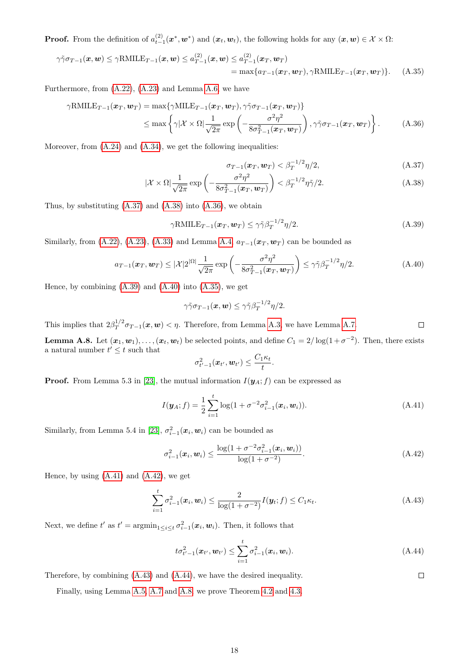**Proof.** From the definition of  $a_{t-1}^{(2)}(x^*, w^*)$  and  $(x_t, w_t)$ , the following holds for any  $(x, w) \in \mathcal{X} \times \Omega$ :

$$
\gamma \tilde{\gamma} \sigma_{T-1}(\boldsymbol{x}, \boldsymbol{w}) \leq \gamma \text{RMILE}_{T-1}(\boldsymbol{x}, \boldsymbol{w}) \leq a_{T-1}^{(2)}(\boldsymbol{x}, \boldsymbol{w}) \leq a_{T-1}^{(2)}(\boldsymbol{x}_T, \boldsymbol{w}_T)
$$
\n
$$
= \max\{a_{T-1}(\boldsymbol{x}_T, \boldsymbol{w}_T), \gamma \text{RMILE}_{T-1}(\boldsymbol{x}_T, \boldsymbol{w}_T)\}. \tag{A.35}
$$

Furthermore, from [\(A.22\)](#page-15-0), [\(A.23\)](#page-15-1) and Lemma [A.6,](#page-15-10) we have

$$
\gamma \text{RMILE}_{T-1}(\boldsymbol{x}_T, \boldsymbol{w}_T) = \max \{ \gamma \text{MILE}_{T-1}(\boldsymbol{x}_T, \boldsymbol{w}_T), \gamma \tilde{\gamma} \sigma_{T-1}(\boldsymbol{x}_T, \boldsymbol{w}_T) \} \\ \leq \max \left\{ \gamma |\mathcal{X} \times \Omega| \frac{1}{\sqrt{2\pi}} \exp \left( -\frac{\sigma^2 \eta^2}{8\sigma_{T-1}^2(\boldsymbol{x}_T, \boldsymbol{w}_T)} \right), \gamma \tilde{\gamma} \sigma_{T-1}(\boldsymbol{x}_T, \boldsymbol{w}_T) \right\}. \tag{A.36}
$$

Moreover, from  $(A.24)$  and  $(A.34)$ , we get the following inequalities:

<span id="page-17-5"></span><span id="page-17-2"></span><span id="page-17-1"></span><span id="page-17-0"></span>
$$
\sigma_{T-1}(\boldsymbol{x}_T,\boldsymbol{w}_T) < \beta_T^{-1/2}\eta/2,\tag{A.37}
$$

$$
|\mathcal{X} \times \Omega| \frac{1}{\sqrt{2\pi}} \exp\left(-\frac{\sigma^2 \eta^2}{8\sigma_{T-1}^2(\boldsymbol{x}_T, \boldsymbol{w}_T)}\right) < \beta_T^{-1/2} \eta \tilde{\gamma}/2. \tag{A.38}
$$

Thus, by substituting  $(A.37)$  and  $(A.38)$  into  $(A.36)$ , we obtain

$$
\gamma \text{RMILE}_{T-1}(\boldsymbol{x}_T, \boldsymbol{w}_T) \le \gamma \tilde{\gamma} \beta_T^{-1/2} \eta / 2. \tag{A.39}
$$

Similarly, from [\(A.22\)](#page-15-0), [\(A.23\)](#page-15-1), [\(A.33\)](#page-16-3) and Lemma [A.4,](#page-13-6)  $a_{T-1}(\boldsymbol{x}_T, \boldsymbol{w}_T)$  can be bounded as

$$
a_{T-1}(\boldsymbol{x}_T, \boldsymbol{w}_T) \leq |\mathcal{X}|2^{|\Omega|} \frac{1}{\sqrt{2\pi}} \exp\left(-\frac{\sigma^2 \eta^2}{8\sigma_{T-1}^2(\boldsymbol{x}_T, \boldsymbol{w}_T)}\right) \leq \gamma \tilde{\gamma} \beta_T^{-1/2} \eta/2. \tag{A.40}
$$

<span id="page-17-6"></span><span id="page-17-4"></span><span id="page-17-3"></span>.

Hence, by combining  $(A.39)$  and  $(A.40)$  into  $(A.35)$ , we get

$$
\gamma\tilde\gamma\sigma_{T-1}(\boldsymbol{x},\boldsymbol{w})\leq \gamma\tilde\gamma\beta_T^{-1/2}\eta/2.
$$

This implies that  $2\beta_T^{1/2}$  $\Box$  $T_T^{1/2} \sigma_{T-1}(x, w) < \eta$ . Therefore, from Lemma [A.3,](#page-13-7) we have Lemma [A.7.](#page-16-4)

<span id="page-17-10"></span>**Lemma A.8.** Let  $(x_1, w_1), \ldots, (x_t, w_t)$  be selected points, and define  $C_1 = 2/\log(1 + \sigma^{-2})$ . Then, there exists a natural number  $t' \leq t$  such that

$$
\sigma_{t'-1}^2(\boldsymbol{x}_{t'}, \boldsymbol{w}_{t'}) \leq \frac{C_1 \kappa_t}{t}
$$

**Proof.** From Lemma 5.3 in [\[23\]](#page-10-10), the mutual information  $I(\mathbf{y}_A; f)$  can be expressed as

$$
I(\mathbf{y}_A; f) = \frac{1}{2} \sum_{i=1}^t \log(1 + \sigma^{-2} \sigma_{i-1}^2(\mathbf{x}_i, \mathbf{w}_i)).
$$
 (A.41)

Similarly, from Lemma 5.4 in [\[23\]](#page-10-10),  $\sigma_{i-1}^2(\boldsymbol{x}_i, \boldsymbol{w}_i)$  can be bounded as

$$
\sigma_{i-1}^2(\boldsymbol{x}_i, \boldsymbol{w}_i) \le \frac{\log(1 + \sigma^{-2} \sigma_{i-1}^2(\boldsymbol{x}_i, \boldsymbol{w}_i))}{\log(1 + \sigma^{-2})}.
$$
\n(A.42)

Hence, by using  $(A.41)$  and  $(A.42)$ , we get

$$
\sum_{i=1}^{t} \sigma_{i-1}^{2}(\boldsymbol{x}_{i}, \boldsymbol{w}_{i}) \leq \frac{2}{\log(1 + \sigma^{-2})} I(\boldsymbol{y}_{t}; f) \leq C_{1} \kappa_{t}.
$$
\n(A.43)

Next, we define t' as  $t' = \operatorname{argmin}_{1 \leq i \leq t} \sigma_{i-1}^2(\boldsymbol{x}_i, \boldsymbol{w}_i)$ . Then, it follows that

$$
t\sigma_{t'-1}^2(\bm{x}_{t'},\bm{w}_{t'}) \leq \sum_{i=1}^t \sigma_{i-1}^2(\bm{x}_i,\bm{w}_i).
$$
 (A.44)

<span id="page-17-9"></span><span id="page-17-8"></span><span id="page-17-7"></span> $\Box$ 

Therefore, by combining [\(A.43\)](#page-17-8) and [\(A.44\)](#page-17-9), we have the desired inequality.

Finally, using Lemma [A.5,](#page-15-9) [A.7](#page-16-4) and [A.8,](#page-17-10) we prove Theorem [4.2](#page-5-1) and [4.3.](#page-5-2)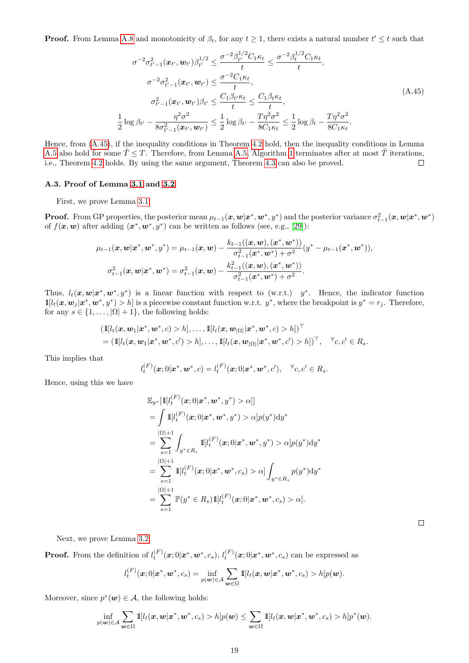<span id="page-18-0"></span>**Proof.** From Lemma [A.8](#page-17-10) and monotonicity of  $\beta_t$ , for any  $t \geq 1$ , there exists a natural number  $t' \leq t$  such that

$$
\sigma^{-2} \sigma_{t'-1}^2(\boldsymbol{x}_{t'}, \boldsymbol{w}_{t'}) \beta_{t'}^{1/2} \leq \frac{\sigma^{-2} \beta_{t'}^{1/2} C_1 \kappa_t}{t} \leq \frac{\sigma^{-2} \beta_{t}^{1/2} C_1 \kappa_t}{t},
$$

$$
\sigma^{-2} \sigma_{t'-1}^2(\boldsymbol{x}_{t'}, \boldsymbol{w}_{t'}) \leq \frac{\sigma^{-2} C_1 \kappa_t}{t},
$$

$$
\sigma_{t'-1}^2(\boldsymbol{x}_{t'}, \boldsymbol{w}_{t'}) \beta_{t'} \leq \frac{C_1 \beta_{t'} \kappa_t}{t} \leq \frac{C_1 \beta_{t} \kappa_t}{t},
$$

$$
\frac{1}{2} \log \beta_{t'} - \frac{\eta^2 \sigma^2}{8 \sigma_{t'-1}^2(\boldsymbol{x}_{t'}, \boldsymbol{w}_{t'})} \leq \frac{1}{2} \log \beta_{t'} - \frac{T \eta^2 \sigma^2}{8 C_1 \kappa_t} \leq \frac{1}{2} \log \beta_t - \frac{T \eta^2 \sigma^2}{8 C_1 \kappa_t}.
$$
(A.45)

Hence, from [\(A.45\)](#page-18-0), if the inequality conditions in Theorem [4.2](#page-5-1) hold, then the inequality conditions in Lemma [A.5](#page-15-9) also hold for some  $\tilde{T} \leq T$ . Therefore, from Lemma [A.5,](#page-15-9) Algorithm [1](#page-3-0) terminates after at most  $\tilde{T}$  iterations, i.e., Theorem [4.2](#page-5-1) holds. By using the same argument, Theorem [4.3](#page-5-2) can also be proved.  $\Box$ 

## A.3. Proof of Lemma [3.1](#page-4-1) and [3.2](#page-4-5)

First, we prove Lemma [3.1](#page-4-1)

**Proof.** From GP properties, the posterior mean  $\mu_{t-1}(\bm{x}, \bm{w} | \bm{x}^*, \bm{w}^*, y^*)$  and the posterior variance  $\sigma_{t-1}^2(\bm{x}, \bm{w} | \bm{x}^*, \bm{w}^*)$ of  $f(\mathbf{x}, \mathbf{w})$  after adding  $(\mathbf{x}^*, \mathbf{w}^*, y^*)$  can be written as follows (see, e.g., [\[29\]](#page-10-0)):

$$
\mu_{t-1}(\mathbf{x}, \mathbf{w} | \mathbf{x}^*, \mathbf{w}^*, y^*) = \mu_{t-1}(\mathbf{x}, \mathbf{w}) - \frac{k_{t-1}((\mathbf{x}, \mathbf{w}), (\mathbf{x}^*, \mathbf{w}^*))}{\sigma_{t-1}^2(\mathbf{x}^*, \mathbf{w}^*) + \sigma^2} (y^* - \mu_{t-1}(\mathbf{x}^*, \mathbf{w}^*)),
$$
  

$$
\sigma_{t-1}^2(\mathbf{x}, \mathbf{w} | \mathbf{x}^*, \mathbf{w}^*) = \sigma_{t-1}^2(\mathbf{x}, \mathbf{w}) - \frac{k_{t-1}^2((\mathbf{x}, \mathbf{w}), (\mathbf{x}^*, \mathbf{w}^*))}{\sigma_{t-1}^2(\mathbf{x}^*, \mathbf{w}^*) + \sigma^2}.
$$

Thus,  $l_t(\mathbf{x}, \mathbf{w} | \mathbf{x}^*, \mathbf{w}^*, y^*)$  is a linear function with respect to (w.r.t.)  $y^*$ . Hence, the indicator function  $\mathbb{1}[l_t(\bm{x}, \bm{w}_j | \bm{x}^*, \bm{w}^*, y^*) > h]$  is a piecewise constant function w.r.t.  $y^*$ , where the breakpoint is  $y^* = r_j$ . Therefore, for any  $s \in \{1, \ldots, |\Omega| + 1\}$ , the following holds:

$$
\begin{aligned} & \left( \mathbb{1}[l_t(\boldsymbol{x},\boldsymbol{w}_1|\boldsymbol{x}^*,\boldsymbol{w}^*,c) > h], \ldots, \mathbb{1}[l_t(\boldsymbol{x},\boldsymbol{w}_{|\Omega|}|\boldsymbol{x}^*,\boldsymbol{w}^*,c) > h] \right)^\top \\ &= \left( \mathbb{1}[l_t(\boldsymbol{x},\boldsymbol{w}_1|\boldsymbol{x}^*,\boldsymbol{w}^*,c') > h], \ldots, \mathbb{1}[l_t(\boldsymbol{x},\boldsymbol{w}_{|\Omega|}|\boldsymbol{x}^*,\boldsymbol{w}^*,c') > h] \right)^\top, \quad \forall c,c' \in R_s. \end{aligned}
$$

This implies that

$$
l_t^{(F)}(\mathbf{x};0|\mathbf{x}^*,\mathbf{w}^*,c) = l_t^{(F)}(\mathbf{x};0|\mathbf{x}^*,\mathbf{w}^*,c'), \quad \forall c,c' \in R_s.
$$

Hence, using this we have

$$
\mathbb{E}_{y^{*}}[\mathbb{1}[l_{t}^{(F)}(\boldsymbol{x};0|\boldsymbol{x}^{*},\boldsymbol{w}^{*},y^{*})>\alpha]]
$$
\n
$$
=\int \mathbb{1}[l_{t}^{(F)}(\boldsymbol{x};0|\boldsymbol{x}^{*},\boldsymbol{w}^{*},y^{*})>\alpha]p(y^{*})\mathrm{d}y^{*}
$$
\n
$$
=\sum_{s=1}^{|\Omega|+1}\int_{y^{*}\in R_{s}}\mathbb{1}[l_{t}^{(F)}(\boldsymbol{x};0|\boldsymbol{x}^{*},\boldsymbol{w}^{*},y^{*})>\alpha]p(y^{*})\mathrm{d}y^{*}
$$
\n
$$
=\sum_{s=1}^{|\Omega|+1}\mathbb{1}[l_{t}^{(F)}(\boldsymbol{x};0|\boldsymbol{x}^{*},\boldsymbol{w}^{*},c_{s})>\alpha]\int_{y^{*}\in R_{s}}p(y^{*})\mathrm{d}y^{*}
$$
\n
$$
=\sum_{s=1}^{|\Omega|+1}\mathbb{P}(y^{*}\in R_{s})\mathbb{1}[l_{t}^{(F)}(\boldsymbol{x};0|\boldsymbol{x}^{*},\boldsymbol{w}^{*},c_{s})>\alpha].
$$

Next, we prove Lemma [3.2.](#page-4-5)

**Proof.** From the definition of  $l_t^{(F)}(x;0|x^*,w^*,c_s)$ ,  $l_t^{(F)}(x;0|x^*,w^*,c_s)$  can be expressed as

$$
l_t^{(F)}(\boldsymbol{x};0|\boldsymbol{x}^*,\boldsymbol{w}^*,c_s) = \inf_{p(\boldsymbol{w})\in\mathcal{A}} \sum_{\boldsymbol{w}\in\Omega} \mathbb{1}[l_t(\boldsymbol{x},\boldsymbol{w}|\boldsymbol{x}^*,\boldsymbol{w}^*,c_s) > h] p(\boldsymbol{w}).
$$

Moreover, since  $p^*(w) \in \mathcal{A}$ , the following holds:

$$
\inf_{p(\boldsymbol w)\in\mathcal A}\sum_{\boldsymbol w\in\Omega}1\!\!1[l_t(\boldsymbol x,\boldsymbol w|\boldsymbol x^*,\boldsymbol w^*,c_s)>h]p(\boldsymbol w)\leq\sum_{\boldsymbol w\in\Omega}1\!\!1[l_t(\boldsymbol x,\boldsymbol w|\boldsymbol x^*,\boldsymbol w^*,c_s)>h]p^*(\boldsymbol w).
$$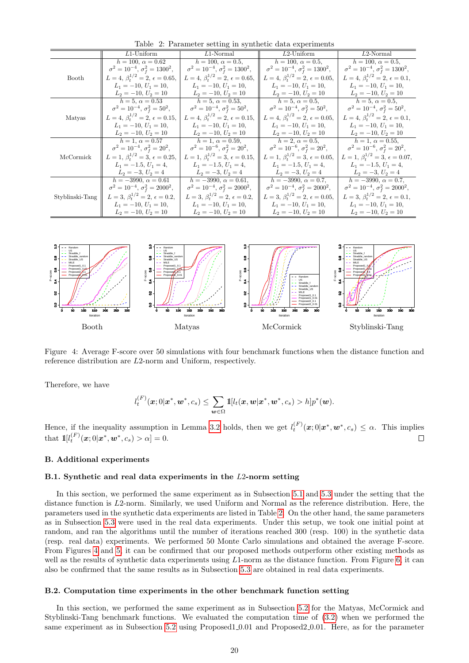|                 | $L1$ -Uniform                                | $L1$ -Normal                                 | $L2$ -Uniform                                | $L2$ -Normal                                 |
|-----------------|----------------------------------------------|----------------------------------------------|----------------------------------------------|----------------------------------------------|
|                 | $h = 100, \alpha = 0.62$                     | $h = 100, \alpha = 0.5,$                     | $h = 100, \alpha = 0.5,$                     | $h = 100, \alpha = 0.5,$                     |
|                 | $\sigma^2 = 10^{-4}, \sigma_f^2 = 1300^2,$   | $\sigma^2 = 10^{-4}, \sigma_f^2 = 1300^2,$   | $\sigma^2 = 10^{-4}, \sigma_f^2 = 1300^2,$   | $\sigma^2 = 10^{-4}, \sigma_f^2 = 1300^2,$   |
| Booth           | $L=4, \beta_t^{1/2}=2, \epsilon=0.65,$       | $L = 4, \beta_t^{1/2} = 2, \epsilon = 0.65,$ | $L = 4, \beta_t^{1/2} = 2, \epsilon = 0.05,$ | $L = 4, \beta_t^{1/2} = 2, \epsilon = 0.1,$  |
|                 | $L_1 = -10, U_1 = 10,$                       | $L_1 = -10, U_1 = 10,$                       | $L_1 = -10, U_1 = 10,$                       | $L_1 = -10, U_1 = 10,$                       |
|                 | $L_2 = -10, U_2 = 10$                        | $L_2 = -10, U_2 = 10$                        | $L_2 = -10, U_2 = 10$                        | $L_2 = -10, U_2 = 10$                        |
|                 | $h = 5, \alpha = 0.53$                       | $h = 5, \ \alpha = 0.53,$                    | $h = 5, \alpha = 0.5,$                       | $h = 5, \ \alpha = 0.5,$                     |
|                 | $\sigma^2 = 10^{-4}, \sigma_f^2 = 50^2,$     | $\sigma^2 = 10^{-4}, \sigma_f^2 = 50^2,$     | $\sigma^2 = 10^{-4}, \sigma_f^2 = 50^2,$     | $\sigma^2 = 10^{-4}, \sigma_f^2 = 50^2,$     |
| Matyas          | $L = 4, \beta_t^{1/2} = 2, \epsilon = 0.15,$ | $L = 4, \beta_t^{1/2} = 2, \epsilon = 0.15,$ | $L = 4, \beta_t^{1/2} = 2, \epsilon = 0.05,$ | $L = 4, \beta_t^{1/2} = 2, \epsilon = 0.1,$  |
|                 | $L_1 = -10, U_1 = 10,$                       | $L_1 = -10, U_1 = 10,$                       | $L_1 = -10, U_1 = 10,$                       | $L_1 = -10, U_1 = 10,$                       |
|                 | $L_2 = -10, U_2 = 10$                        | $L_2 = -10, U_2 = 10$                        | $L_2 = -10, U_2 = 10$                        | $L_2 = -10, U_2 = 10$                        |
| McCormick       | $h = 1, \alpha = 0.57$                       | $h = 1, \alpha = 0.59,$                      | $h = 2, \alpha = 0.5,$                       | $h = 1, \alpha = 0.55,$                      |
|                 | $\sigma^2 = 10^{-4}, \sigma_f^2 = 20^2,$     | $\sigma^2 = 10^{-6}, \sigma_f^2 = 20^2,$     | $\sigma^2 = 10^{-6}, \sigma_f^2 = 20^2,$     | $\sigma^2 = 10^{-6}, \sigma_f^2 = 20^2,$     |
|                 | $L = 1, \beta_t^{1/2} = 3, \epsilon = 0.25,$ | $L = 1, \beta_t^{1/2} = 3, \epsilon = 0.15,$ | $L = 1, \beta_t^{1/2} = 3, \epsilon = 0.05,$ | $L = 1, \beta_t^{1/2} = 3, \epsilon = 0.07,$ |
|                 | $L_1 = -1.5, U_1 = 4,$                       | $L_1 = -1.5, U_1 = 4,$                       | $L_1 = -1.5, U_1 = 4,$                       | $L_1 = -1.5, U_1 = 4,$                       |
|                 | $L_2 = -3, U_2 = 4$                          | $L_2 = -3, U_2 = 4$                          | $L_2 = -3, U_2 = 4$                          | $L_2 = -3, U_2 = 4$                          |
| Styblinski-Tang | $h = -3990, \alpha = 0.61$                   | $h = -3990, \alpha = 0.61,$                  | $h = -3990, \alpha = 0.7,$                   | $h = -3990, \alpha = 0.7,$                   |
|                 | $\sigma^2 = 10^{-4}, \sigma_f^2 = 2000^2,$   | $\sigma^2 = 10^{-4}, \sigma_f^2 = 2000^2,$   | $\sigma^2 = 10^{-4}, \sigma_f^2 = 2000^2,$   | $\sigma^2 = 10^{-4}, \sigma_f^2 = 2000^2,$   |
|                 | $L = 3, \beta_t^{1/2} = 2, \epsilon = 0.2,$  | $L = 3, \beta_t^{1/2} = 2, \epsilon = 0.2,$  | $L = 3, \beta_t^{1/2} = 2, \epsilon = 0.05,$ | $L = 3, \beta_t^{1/2} = 2, \epsilon = 0.1,$  |
|                 | $L_1 = -10, U_1 = 10,$                       | $L_1 = -10, U_1 = 10,$                       | $L_1 = -10, U_1 = 10,$                       | $L_1 = -10, U_1 = 10,$                       |
|                 | $L_2 = -10, U_2 = 10$                        | $L_2 = -10, U_2 = 10$                        | $L_2 = -10, U_2 = 10$                        | $L_2 = -10, U_2 = 10$                        |

<span id="page-19-0"></span>Table 2: Parameter setting in synthetic data experiments



<span id="page-19-1"></span>Figure 4: Average F-score over 50 simulations with four benchmark functions when the distance function and reference distribution are L2-norm and Uniform, respectively.

Therefore, we have

$$
l_t^{(F)}(\boldsymbol{x};0|\boldsymbol{x}^*,\boldsymbol{w}^*,c_s)\leq \sum_{\boldsymbol{w}\in\Omega}\mathbb{1}[l_t(\boldsymbol{x},\boldsymbol{w}|\boldsymbol{x}^*,\boldsymbol{w}^*,c_s)>h]p^*(\boldsymbol{w}).
$$

Hence, if the inequality assumption in Lemma [3.2](#page-4-5) holds, then we get  $l_t^{(F)}(\mathbf{x};0|\mathbf{x}^*,\mathbf{w}^*,c_s) \leq \alpha$ . This implies that  $1\llbracket l_t^{(F)}(\bm{x};0|\bm{x}^*,\bm{w}^*,c_s) > \alpha \rrbracket = 0.$  $\Box$ 

## B. Additional experiments

## B.1. Synthetic and real data experiments in the L2-norm setting

In this section, we performed the same experiment as in Subsection [5.1](#page-6-0) and [5.3](#page-7-3) under the setting that the distance function is L2-norm. Similarly, we used Uniform and Normal as the reference distribution. Here, the parameters used in the synthetic data experiments are listed in Table [2.](#page-19-0) On the other hand, the same parameters as in Subsection [5.3](#page-7-3) were used in the real data experiments. Under this setup, we took one initial point at random, and ran the algorithms until the number of iterations reached 300 (resp. 100) in the synthetic data (resp. real data) experiments. We performed 50 Monte Carlo simulations and obtained the average F-score. From Figures [4](#page-19-1) and [5,](#page-20-0) it can be confirmed that our proposed methods outperform other existing methods as well as the results of synthetic data experiments using  $L1$ -norm as the distance function. From Figure [6,](#page-20-1) it can also be confirmed that the same results as in Subsection [5.3](#page-7-3) are obtained in real data experiments.

## B.2. Computation time experiments in the other benchmark function setting

In this section, we performed the same experiment as in Subsection [5.2](#page-6-1) for the Matyas, McCormick and Styblinski-Tang benchmark functions. We evaluated the computation time of [\(3.2\)](#page-2-2) when we performed the same experiment as in Subsection [5.2](#page-6-1) using Proposed1.0.01 and Proposed2.0.01. Here, as for the parameter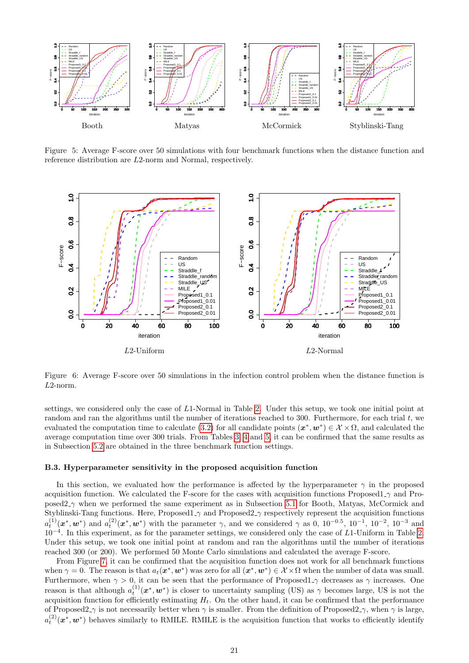

<span id="page-20-0"></span>Figure 5: Average F-score over 50 simulations with four benchmark functions when the distance function and reference distribution are L2-norm and Normal, respectively.



<span id="page-20-1"></span>Figure 6: Average F-score over 50 simulations in the infection control problem when the distance function is L2-norm.

settings, we considered only the case of L1-Normal in Table [2.](#page-19-0) Under this setup, we took one initial point at random and ran the algorithms until the number of iterations reached to 300. Furthermore, for each trial t, we evaluated the computation time to calculate [\(3.2\)](#page-2-2) for all candidate points  $(x^*, w^*) \in \mathcal{X} \times \Omega$ , and calculated the average computation time over 300 trials. From Tables [3,](#page-21-0) [4](#page-21-1) and [5,](#page-22-0) it can be confirmed that the same results as in Subsection [5.2](#page-6-1) are obtained in the three benchmark function settings.

#### B.3. Hyperparameter sensitivity in the proposed acquisition function

In this section, we evaluated how the performance is affected by the hyperparameter  $\gamma$  in the proposed acquisition function. We calculated the F-score for the cases with acquisition functions Proposed1  $\gamma$  and Proposed2 γ when we performed the same experiment as in Subsection [5.1](#page-6-0) for Booth, Matyas, McCormick and Styblinski-Tang functions. Here, Proposed1<sub>- $\gamma$ </sub> and Proposed2<sub>- $\gamma$ </sub> respectively represent the acquisition functions  $a_t^{(1)}(x^*, w^*)$  and  $a_t^{(2)}(x^*, w^*)$  with the parameter  $\gamma$ , and we considered  $\gamma$  as 0, 10<sup>-0.5</sup>, 10<sup>-1</sup>, 10<sup>-2</sup>, 10<sup>-3</sup> and 10<sup>−</sup><sup>4</sup> . In this experiment, as for the parameter settings, we considered only the case of L1-Uniform in Table [2.](#page-19-0) Under this setup, we took one initial point at random and ran the algorithms until the number of iterations reached 300 (or 200). We performed 50 Monte Carlo simulations and calculated the average F-score.

From Figure [7,](#page-22-1) it can be confirmed that the acquisition function does not work for all benchmark functions when  $\gamma = 0$ . The reason is that  $a_t(\mathbf{x}^*, \mathbf{w}^*)$  was zero for all  $(\mathbf{x}^*, \mathbf{w}^*) \in \mathcal{X} \times \Omega$  when the number of data was small. Furthermore, when  $\gamma > 0$ , it can be seen that the performance of Proposed1<sub>- $\gamma$ </sub> decreases as  $\gamma$  increases. One reason is that although  $a_t^{(1)}(\mathbf{x}^*,\mathbf{w}^*)$  is closer to uncertainty sampling (US) as  $\gamma$  becomes large, US is not the acquisition function for efficiently estimating  $H_t$ . On the other hand, it can be confirmed that the performance of Proposed2 $\gamma$  is not necessarily better when  $\gamma$  is smaller. From the definition of Proposed2 $\gamma$ , when  $\gamma$  is large,  $a_t^{(2)}(\bm{x}^*,\bm{w}^*)$  behaves similarly to RMILE. RMILE is the acquisition function that works to efficiently identify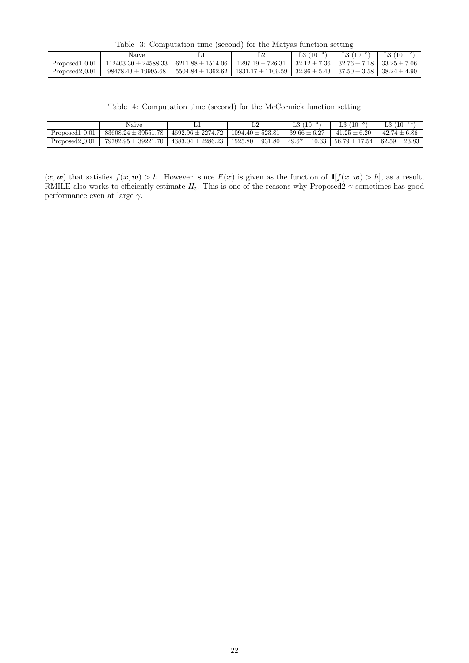<span id="page-21-0"></span>Table 3: Computation time (second) for the Matyas function setting

|                  | Naive                                                                  |                       |                                                                                | $L3(10^{-4})$ | $L3(10^{-8})$                                         | L3 $(10^{-12})$ |
|------------------|------------------------------------------------------------------------|-----------------------|--------------------------------------------------------------------------------|---------------|-------------------------------------------------------|-----------------|
| $Proposed1_0.01$ | $\parallel$ 112403.30 $\pm$ 24588.33 $\parallel$ 6211.88 $\pm$ 1514.06 |                       | $1297.19 \pm 726.31$                                                           |               | $132.12 \pm 7.36$ $132.76 \pm 7.18$ $133.25 \pm 7.06$ |                 |
| $Proposed2_0.01$ | $98478.43 \pm 19995.68$                                                | $5504.84 \pm 1362.62$ | $1831.17 \pm 1109.59$   $32.86 \pm 5.43$   $37.50 \pm 3.58$   $38.24 \pm 4.90$ |               |                                                       |                 |

<span id="page-21-1"></span>Table 4: Computation time (second) for the McCormick function setting

|                  | Naive                                                                                                                              |                      | L3 $(10^{-4})$   | $L3(10^{-8})$    | L3 $(10^{-12})$ |
|------------------|------------------------------------------------------------------------------------------------------------------------------------|----------------------|------------------|------------------|-----------------|
| Proposed 1 0.01  | $83608.24 \pm 39551.78$   $4692.96 \pm 2274.72$                                                                                    | $1094.40 \pm 523.81$ | $39.66 \pm 6.27$ | $41.25 \pm 6.20$ | $42.74 + 6.86$  |
| $Proposed2_0.01$ | $79782.95 \pm 39221.70$   $4383.04 \pm 2286.23$   $1525.80 \pm 931.80$   $49.67 \pm 10.33$   $56.79 \pm 17.54$   $62.59 \pm 23.83$ |                      |                  |                  |                 |

 $(x, w)$  that satisfies  $f(x, w) > h$ . However, since  $F(x)$  is given as the function of  $\mathbb{1}[f(x, w) > h]$ , as a result, RMILE also works to efficiently estimate  $H_t$ . This is one of the reasons why Proposed2<sub>- $\gamma$ </sub> sometimes has good performance even at large  $\gamma$ .